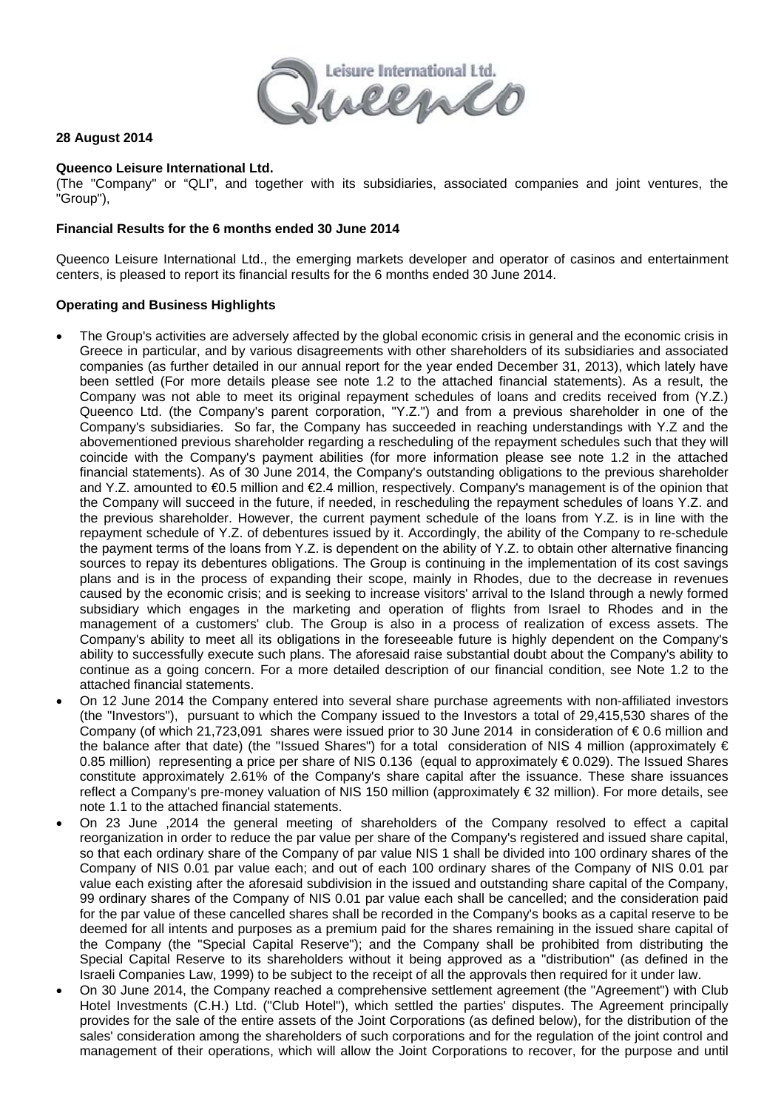

#### **28 August 2014**

#### **Queenco Leisure International Ltd.**

(The "Company" or "QLI", and together with its subsidiaries, associated companies and joint ventures, the "Group"),

#### **Financial Results for the 6 months ended 30 June 2014**

Queenco Leisure International Ltd., the emerging markets developer and operator of casinos and entertainment centers, is pleased to report its financial results for the 6 months ended 30 June 2014.

#### **Operating and Business Highlights**

- The Group's activities are adversely affected by the global economic crisis in general and the economic crisis in Greece in particular, and by various disagreements with other shareholders of its subsidiaries and associated companies (as further detailed in our annual report for the year ended December 31, 2013), which lately have been settled (For more details please see note 1.2 to the attached financial statements). As a result, the Company was not able to meet its original repayment schedules of loans and credits received from (Y.Z.) Queenco Ltd. (the Company's parent corporation, "Y.Z.") and from a previous shareholder in one of the Company's subsidiaries. So far, the Company has succeeded in reaching understandings with Y.Z and the abovementioned previous shareholder regarding a rescheduling of the repayment schedules such that they will coincide with the Company's payment abilities (for more information please see note 1.2 in the attached financial statements). As of 30 June 2014, the Company's outstanding obligations to the previous shareholder and Y.Z. amounted to €0.5 million and €2.4 million, respectively. Company's management is of the opinion that the Company will succeed in the future, if needed, in rescheduling the repayment schedules of loans Y.Z. and the previous shareholder. However, the current payment schedule of the loans from Y.Z. is in line with the repayment schedule of Y.Z. of debentures issued by it. Accordingly, the ability of the Company to re-schedule the payment terms of the loans from Y.Z. is dependent on the ability of Y.Z. to obtain other alternative financing sources to repay its debentures obligations. The Group is continuing in the implementation of its cost savings plans and is in the process of expanding their scope, mainly in Rhodes, due to the decrease in revenues caused by the economic crisis; and is seeking to increase visitors' arrival to the Island through a newly formed subsidiary which engages in the marketing and operation of flights from Israel to Rhodes and in the management of a customers' club. The Group is also in a process of realization of excess assets. The Company's ability to meet all its obligations in the foreseeable future is highly dependent on the Company's ability to successfully execute such plans. The aforesaid raise substantial doubt about the Company's ability to continue as a going concern. For a more detailed description of our financial condition, see Note 1.2 to the attached financial statements.
- On 12 June 2014 the Company entered into several share purchase agreements with non-affiliated investors (the "Investors"), pursuant to which the Company issued to the Investors a total of 29,415,530 shares of the Company (of which 21,723,091 shares were issued prior to 30 June 2014 in consideration of € 0.6 million and the balance after that date) (the "Issued Shares") for a total consideration of NIS 4 million (approximately € 0.85 million) representing a price per share of NIS 0.136 (equal to approximately € 0.029). The Issued Shares constitute approximately 2.61% of the Company's share capital after the issuance. These share issuances reflect a Company's pre-money valuation of NIS 150 million (approximately € 32 million). For more details, see note 1.1 to the attached financial statements.
- On 23 June ,2014 the general meeting of shareholders of the Company resolved to effect a capital reorganization in order to reduce the par value per share of the Company's registered and issued share capital, so that each ordinary share of the Company of par value NIS 1 shall be divided into 100 ordinary shares of the Company of NIS 0.01 par value each; and out of each 100 ordinary shares of the Company of NIS 0.01 par value each existing after the aforesaid subdivision in the issued and outstanding share capital of the Company, 99 ordinary shares of the Company of NIS 0.01 par value each shall be cancelled; and the consideration paid for the par value of these cancelled shares shall be recorded in the Company's books as a capital reserve to be deemed for all intents and purposes as a premium paid for the shares remaining in the issued share capital of the Company (the "Special Capital Reserve"); and the Company shall be prohibited from distributing the Special Capital Reserve to its shareholders without it being approved as a "distribution" (as defined in the Israeli Companies Law, 1999) to be subject to the receipt of all the approvals then required for it under law.
- On 30 June 2014, the Company reached a comprehensive settlement agreement (the "Agreement") with Club Hotel Investments (C.H.) Ltd. ("Club Hotel"), which settled the parties' disputes. The Agreement principally provides for the sale of the entire assets of the Joint Corporations (as defined below), for the distribution of the sales' consideration among the shareholders of such corporations and for the regulation of the joint control and management of their operations, which will allow the Joint Corporations to recover, for the purpose and until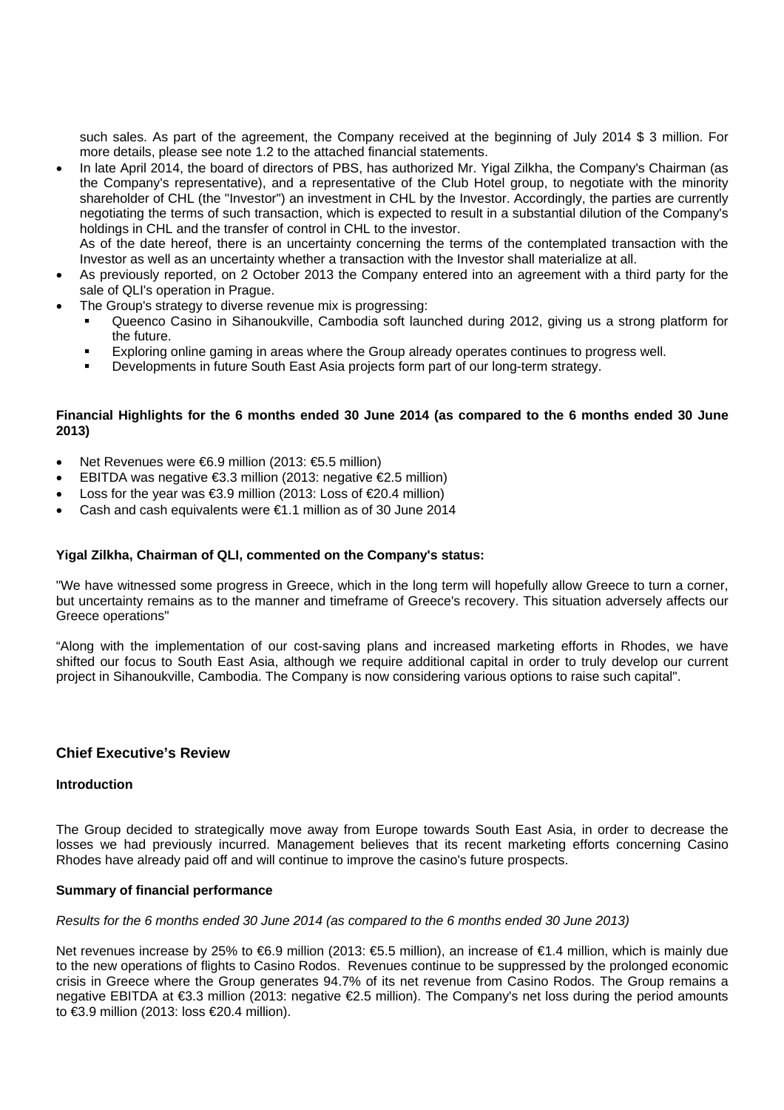such sales. As part of the agreement, the Company received at the beginning of July 2014 \$ 3 million. For more details, please see note 1.2 to the attached financial statements.

• In late April 2014, the board of directors of PBS, has authorized Mr. Yigal Zilkha, the Company's Chairman (as the Company's representative), and a representative of the Club Hotel group, to negotiate with the minority shareholder of CHL (the "Investor") an investment in CHL by the Investor. Accordingly, the parties are currently negotiating the terms of such transaction, which is expected to result in a substantial dilution of the Company's holdings in CHL and the transfer of control in CHL to the investor. As of the date hereof, there is an uncertainty concerning the terms of the contemplated transaction with the

Investor as well as an uncertainty whether a transaction with the Investor shall materialize at all.

- As previously reported, on 2 October 2013 the Company entered into an agreement with a third party for the sale of QLI's operation in Prague.
- The Group's strategy to diverse revenue mix is progressing:
	- Queenco Casino in Sihanoukville, Cambodia soft launched during 2012, giving us a strong platform for the future.
	- Exploring online gaming in areas where the Group already operates continues to progress well.
	- Developments in future South East Asia projects form part of our long-term strategy.

#### **Financial Highlights for the 6 months ended 30 June 2014 (as compared to the 6 months ended 30 June 2013)**

- Net Revenues were €6.9 million (2013: €5.5 million)
- EBITDA was negative €3.3 million (2013: negative €2.5 million)
- Loss for the year was €3.9 million (2013: Loss of €20.4 million)
- Cash and cash equivalents were €1.1 million as of 30 June 2014

#### **Yigal Zilkha, Chairman of QLI, commented on the Company's status:**

"We have witnessed some progress in Greece, which in the long term will hopefully allow Greece to turn a corner, but uncertainty remains as to the manner and timeframe of Greece's recovery. This situation adversely affects our Greece operations"

"Along with the implementation of our cost-saving plans and increased marketing efforts in Rhodes, we have shifted our focus to South East Asia, although we require additional capital in order to truly develop our current project in Sihanoukville, Cambodia. The Company is now considering various options to raise such capital".

#### **Chief Executive's Review**

#### **Introduction**

The Group decided to strategically move away from Europe towards South East Asia, in order to decrease the losses we had previously incurred. Management believes that its recent marketing efforts concerning Casino Rhodes have already paid off and will continue to improve the casino's future prospects.

#### **Summary of financial performance**

*Results for the 6 months ended 30 June 2014 (as compared to the 6 months ended 30 June 2013)* 

Net revenues increase by 25% to €6.9 million (2013: €5.5 million), an increase of €1.4 million, which is mainly due to the new operations of flights to Casino Rodos. Revenues continue to be suppressed by the prolonged economic crisis in Greece where the Group generates 94.7% of its net revenue from Casino Rodos. The Group remains a negative EBITDA at €3.3 million (2013: negative €2.5 million). The Company's net loss during the period amounts to €3.9 million (2013: loss €20.4 million).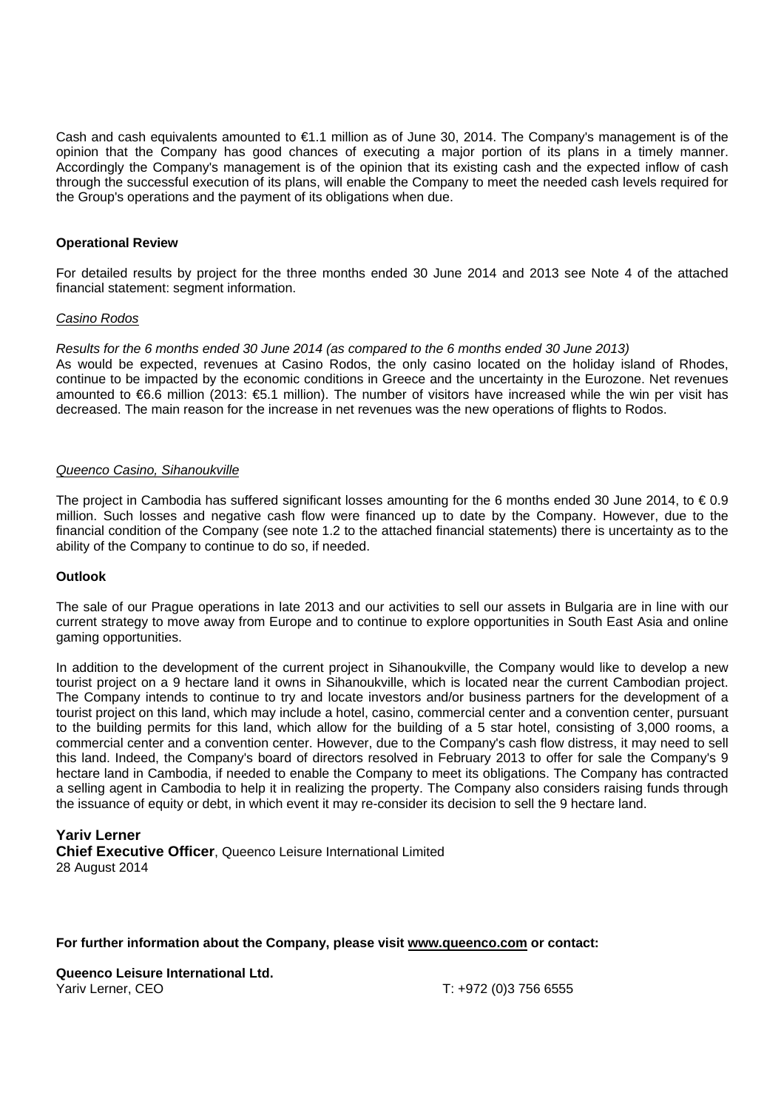Cash and cash equivalents amounted to €1.1 million as of June 30, 2014. The Company's management is of the opinion that the Company has good chances of executing a major portion of its plans in a timely manner. Accordingly the Company's management is of the opinion that its existing cash and the expected inflow of cash through the successful execution of its plans, will enable the Company to meet the needed cash levels required for the Group's operations and the payment of its obligations when due.

#### **Operational Review**

For detailed results by project for the three months ended 30 June 2014 and 2013 see Note 4 of the attached financial statement: segment information.

#### *Casino Rodos*

*Results for the 6 months ended 30 June 2014 (as compared to the 6 months ended 30 June 2013)*  As would be expected, revenues at Casino Rodos, the only casino located on the holiday island of Rhodes, continue to be impacted by the economic conditions in Greece and the uncertainty in the Eurozone. Net revenues amounted to €6.6 million (2013: €5.1 million). The number of visitors have increased while the win per visit has decreased. The main reason for the increase in net revenues was the new operations of flights to Rodos.

#### *Queenco Casino, Sihanoukville*

The project in Cambodia has suffered significant losses amounting for the 6 months ended 30 June 2014, to  $\epsilon$  0.9 million. Such losses and negative cash flow were financed up to date by the Company. However, due to the financial condition of the Company (see note 1.2 to the attached financial statements) there is uncertainty as to the ability of the Company to continue to do so, if needed.

#### **Outlook**

The sale of our Prague operations in late 2013 and our activities to sell our assets in Bulgaria are in line with our current strategy to move away from Europe and to continue to explore opportunities in South East Asia and online gaming opportunities.

In addition to the development of the current project in Sihanoukville, the Company would like to develop a new tourist project on a 9 hectare land it owns in Sihanoukville, which is located near the current Cambodian project. The Company intends to continue to try and locate investors and/or business partners for the development of a tourist project on this land, which may include a hotel, casino, commercial center and a convention center, pursuant to the building permits for this land, which allow for the building of a 5 star hotel, consisting of 3,000 rooms, a commercial center and a convention center. However, due to the Company's cash flow distress, it may need to sell this land. Indeed, the Company's board of directors resolved in February 2013 to offer for sale the Company's 9 hectare land in Cambodia, if needed to enable the Company to meet its obligations. The Company has contracted a selling agent in Cambodia to help it in realizing the property. The Company also considers raising funds through the issuance of equity or debt, in which event it may re-consider its decision to sell the 9 hectare land.

## **Yariv Lerner Chief Executive Officer**, Queenco Leisure International Limited 28 August 2014

#### **For further information about the Company, please visit www.queenco.com or contact:**

**Queenco Leisure International Ltd.**  Yariv Lerner, CEO T: +972 (0) 3756 6555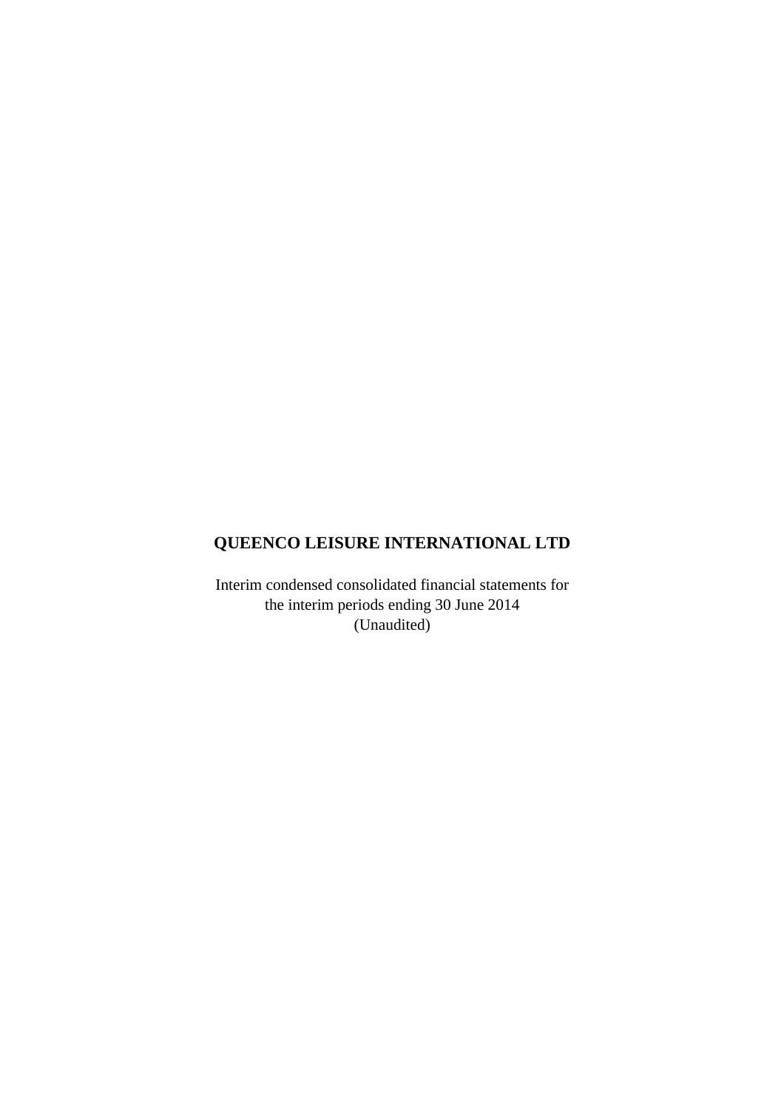# **QUEENCO LEISURE INTERNATIONAL LTD**

Interim condensed consolidated financial statements for the interim periods ending 30 June 2014 (Unaudited)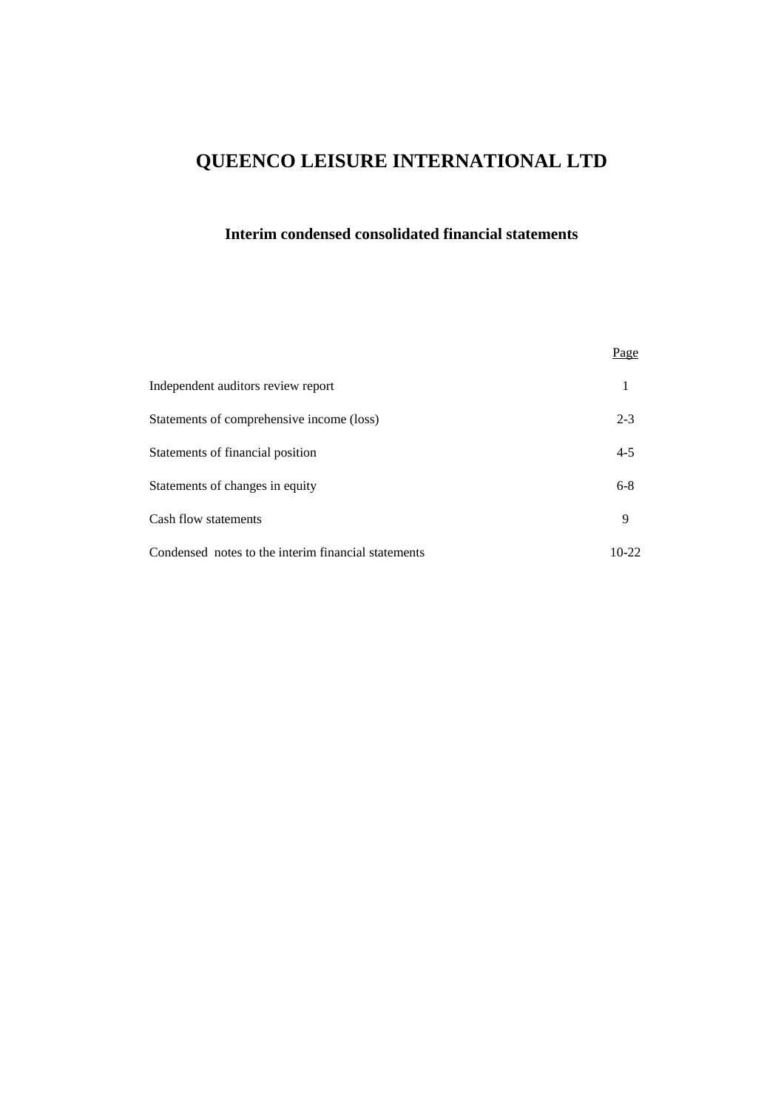# **QUEENCO LEISURE INTERNATIONAL LTD**

# **Interim condensed consolidated financial statements**

|                                                     | Page    |
|-----------------------------------------------------|---------|
| Independent auditors review report                  |         |
| Statements of comprehensive income (loss)           | $2 - 3$ |
| Statements of financial position                    | $4 - 5$ |
| Statements of changes in equity                     | $6 - 8$ |
| Cash flow statements                                | 9       |
| Condensed notes to the interim financial statements | $10-22$ |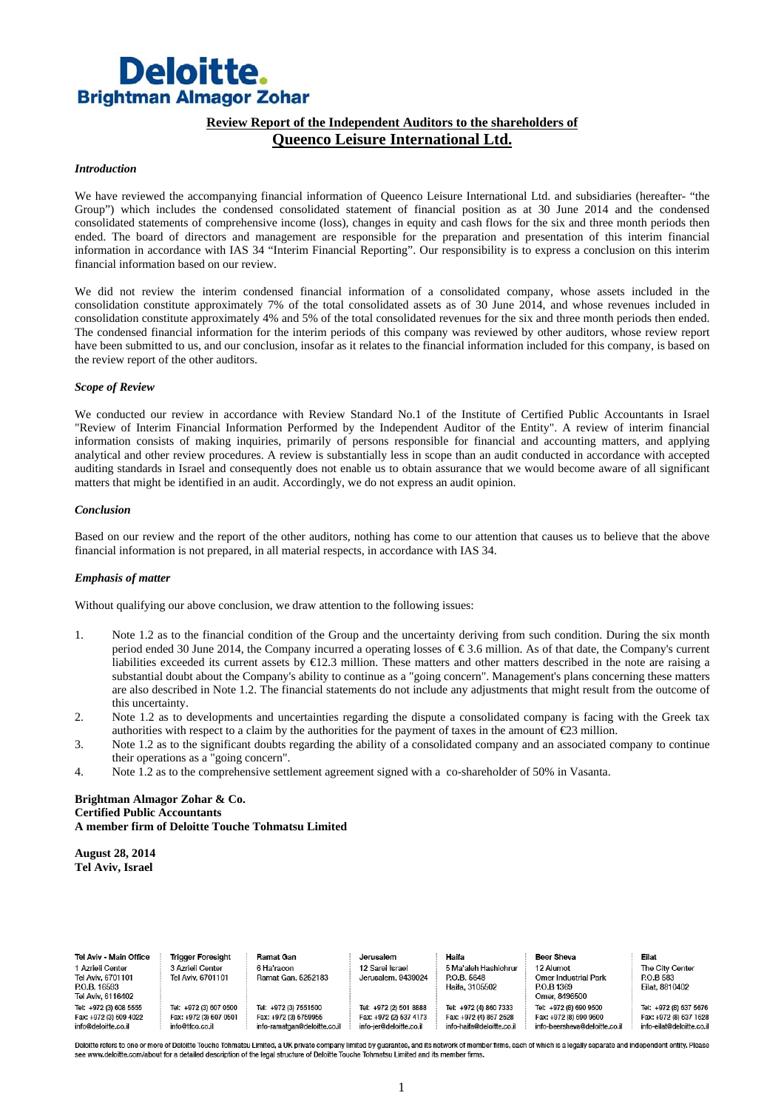# **Deloitte. Brightman Almagor Zohar**

#### **Review Report of the Independent Auditors to the shareholders of Queenco Leisure International Ltd.**

#### *Introduction*

We have reviewed the accompanying financial information of Queenco Leisure International Ltd. and subsidiaries (hereafter- "the Group") which includes the condensed consolidated statement of financial position as at 30 June 2014 and the condensed consolidated statements of comprehensive income (loss), changes in equity and cash flows for the six and three month periods then ended. The board of directors and management are responsible for the preparation and presentation of this interim financial information in accordance with IAS 34 "Interim Financial Reporting". Our responsibility is to express a conclusion on this interim financial information based on our review.

We did not review the interim condensed financial information of a consolidated company, whose assets included in the consolidation constitute approximately 7% of the total consolidated assets as of 30 June 2014, and whose revenues included in consolidation constitute approximately 4% and 5% of the total consolidated revenues for the six and three month periods then ended. The condensed financial information for the interim periods of this company was reviewed by other auditors, whose review report have been submitted to us, and our conclusion, insofar as it relates to the financial information included for this company, is based on the review report of the other auditors.

#### *Scope of Review*

We conducted our review in accordance with Review Standard No.1 of the Institute of Certified Public Accountants in Israel "Review of Interim Financial Information Performed by the Independent Auditor of the Entity". A review of interim financial information consists of making inquiries, primarily of persons responsible for financial and accounting matters, and applying analytical and other review procedures. A review is substantially less in scope than an audit conducted in accordance with accepted auditing standards in Israel and consequently does not enable us to obtain assurance that we would become aware of all significant matters that might be identified in an audit. Accordingly, we do not express an audit opinion.

#### *Conclusion*

Based on our review and the report of the other auditors, nothing has come to our attention that causes us to believe that the above financial information is not prepared, in all material respects, in accordance with IAS 34.

#### *Emphasis of matter*

Without qualifying our above conclusion, we draw attention to the following issues:

- 1. Note 1.2 as to the financial condition of the Group and the uncertainty deriving from such condition. During the six month period ended 30 June 2014, the Company incurred a operating losses of € 3.6 million. As of that date, the Company's current liabilities exceeded its current assets by  $\bigoplus$  2.3 million. These matters and other matters described in the note are raising a substantial doubt about the Company's ability to continue as a "going concern". Management's plans concerning these matters are also described in Note 1.2. The financial statements do not include any adjustments that might result from the outcome of this uncertainty.
- 2. Note 1.2 as to developments and uncertainties regarding the dispute a consolidated company is facing with the Greek tax authorities with respect to a claim by the authorities for the payment of taxes in the amount of  $\epsilon$ 23 million.
- 3. Note 1.2 as to the significant doubts regarding the ability of a consolidated company and an associated company to continue their operations as a "going concern".
- 4. Note 1.2 as to the comprehensive settlement agreement signed with a co-shareholder of 50% in Vasanta.

#### **Brightman Almagor Zohar & Co. Certified Public Accountants A member firm of Deloitte Touche Tohmatsu Limited**

**August 28, 2014 Tel Aviv, Israel** 

| Tel Aviv - Main Office                                                     | <b>Trigger Foresight</b>                                            | Ramat Gan                                                                      | Jerusalem                                                                   | Haifa                                                                         | Beer Sheva                                                                        | Eilat                                                                      |
|----------------------------------------------------------------------------|---------------------------------------------------------------------|--------------------------------------------------------------------------------|-----------------------------------------------------------------------------|-------------------------------------------------------------------------------|-----------------------------------------------------------------------------------|----------------------------------------------------------------------------|
| 1 Azrieli Center<br>Tel Aviv. 6701101<br>P.O.B. 16593<br>Tel Aviv, 6116402 | 3 Azrieli Center<br>Tel Aviv, 6701101                               | 6 Ha'racon<br>Ramat Gan, 5252183                                               | 12 Sarei Israel<br>Jerusalem, 9439024                                       | 5 Ma'aleh Hashichrur<br>P.O.B. 5648<br>Haifa, 3105502                         | 12 Alumot<br><b>Omer Industrial Park</b><br>P.O.B 1369<br>Omer, 8496500           | The City Center<br>P.O.B 583<br>Eilat, 8810402                             |
| Tel: +972 (3) 608 5555<br>Fax: +972 (3) 609 4022<br>info@deloitte.co.il    | Tel: +972 (3) 607 0500<br>Fax: +972 (3) 607 0501<br>info@tfco.co.il | Tel: +972 (3) 7551500<br>Fax: +972 (3) 5759955<br>info-ramatgan@deloitte.co.il | Tel: +972 (2) 501 8888<br>Fax: +972 (2) 537 4173<br>info-jer@deloitte.co.il | Tel: +972 (4) 860 7333<br>Fax: +972 (4) 867 2528<br>info-haifa@deloitte.co.il | Tel: +972 (8) 690 9500<br>Fax: +972 (8) 690 9600<br>info-beersheva@deloitte.co.il | Tel: +972 (8) 637 5676<br>Fax: +972 (8) 637 162<br>info-eilat@deloitte.co. |

Deloitte refers to one or more of Deloitte Touche Tohmatsu Limited, a UK private company limited by quarantee, and its network of member firms, each of which is a legally separate and independent entity. Please com/about for a detailed description of the legal structure of Deloitte Touche Tohmatsu Limited and its member firms.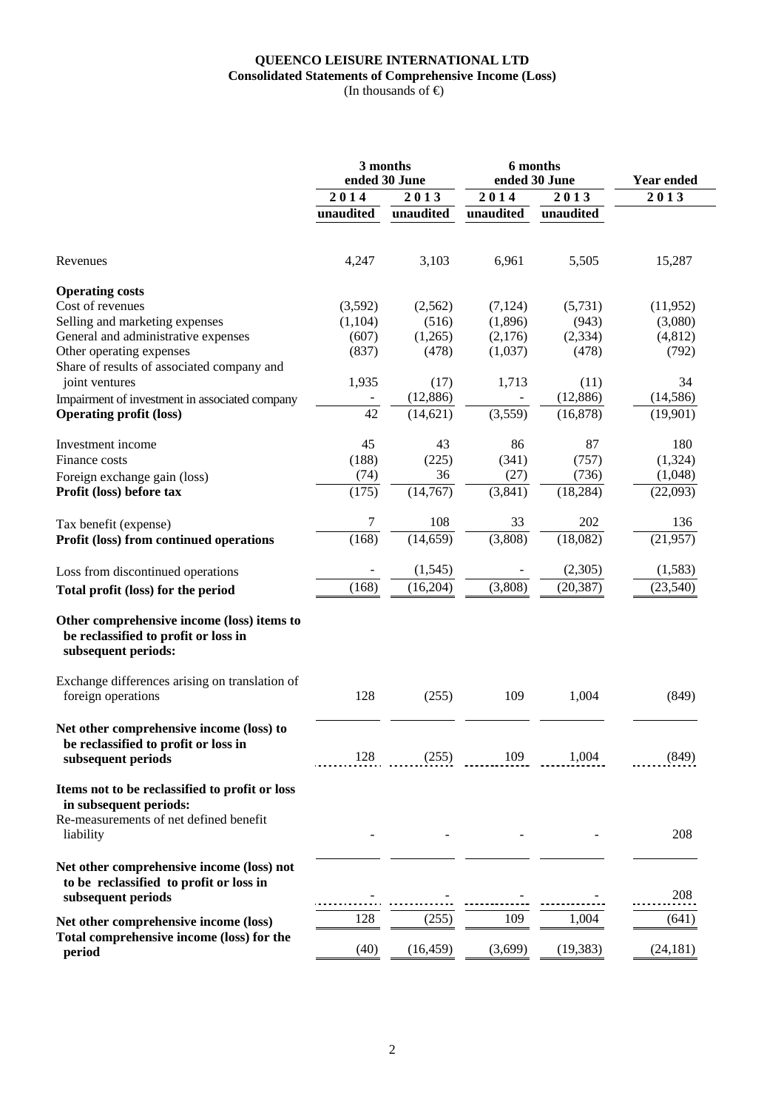## **QUEENCO LEISURE INTERNATIONAL LTD Consolidated Statements of Comprehensive Income (Loss)**

(In thousands of  $\Theta$ )

|                                                                                                                                 |           | 3 months<br>ended 30 June |           | 6 months<br>ended 30 June | Year ended |
|---------------------------------------------------------------------------------------------------------------------------------|-----------|---------------------------|-----------|---------------------------|------------|
|                                                                                                                                 | 2014      | 2013                      | 2014      | $\overline{2013}$         | 2013       |
|                                                                                                                                 | unaudited | unaudited                 | unaudited | unaudited                 |            |
| Revenues                                                                                                                        | 4,247     | 3,103                     | 6,961     | 5,505                     | 15,287     |
| <b>Operating costs</b>                                                                                                          |           |                           |           |                           |            |
| Cost of revenues                                                                                                                | (3,592)   | (2,562)                   | (7,124)   | (5,731)                   | (11, 952)  |
| Selling and marketing expenses                                                                                                  | (1,104)   | (516)                     | (1,896)   | (943)                     | (3,080)    |
| General and administrative expenses                                                                                             | (607)     | (1,265)                   | (2,176)   | (2, 334)                  | (4, 812)   |
| Other operating expenses                                                                                                        | (837)     | (478)                     | (1,037)   | (478)                     | (792)      |
| Share of results of associated company and                                                                                      |           |                           |           |                           |            |
| joint ventures                                                                                                                  | 1,935     | (17)                      | 1,713     | (11)                      | 34         |
|                                                                                                                                 |           |                           |           |                           |            |
| Impairment of investment in associated company                                                                                  |           | (12, 886)                 |           | (12, 886)                 | (14, 586)  |
| <b>Operating profit (loss)</b>                                                                                                  | 42        | (14, 621)                 | (3,559)   | (16, 878)                 | (19,901)   |
| Investment income                                                                                                               | 45        | 43                        | 86        | 87                        | 180        |
| Finance costs                                                                                                                   | (188)     | (225)                     | (341)     | (757)                     | (1, 324)   |
| Foreign exchange gain (loss)                                                                                                    | (74)      | 36                        | (27)      | (736)                     | (1,048)    |
| Profit (loss) before tax                                                                                                        | (175)     | (14, 767)                 | (3,841)   | (18, 284)                 | (22,093)   |
| Tax benefit (expense)                                                                                                           | 7         | 108                       | 33        | 202                       | 136        |
| Profit (loss) from continued operations                                                                                         | (168)     | (14, 659)                 | (3,808)   | (18,082)                  | (21, 957)  |
| Loss from discontinued operations                                                                                               |           | (1,545)                   |           | (2,305)                   | (1,583)    |
|                                                                                                                                 | (168)     | (16,204)                  | (3,808)   | (20, 387)                 | (23, 540)  |
| Total profit (loss) for the period                                                                                              |           |                           |           |                           |            |
| Other comprehensive income (loss) items to<br>be reclassified to profit or loss in<br>subsequent periods:                       |           |                           |           |                           |            |
| Exchange differences arising on translation of<br>foreign operations                                                            | 128       | (255)                     | 109       | 1,004                     | (849)      |
| Net other comprehensive income (loss) to<br>be reclassified to profit or loss in<br>subsequent periods                          | 128       | (255)                     | 109       | 1,004                     | (849)      |
| Items not to be reclassified to profit or loss<br>in subsequent periods:<br>Re-measurements of net defined benefit<br>liability |           |                           |           |                           | 208        |
| Net other comprehensive income (loss) not<br>to be reclassified to profit or loss in<br>subsequent periods                      |           |                           |           |                           | 208        |
| Net other comprehensive income (loss)                                                                                           | 128       | (255)                     | 109       | 1,004                     | (641)      |
| Total comprehensive income (loss) for the                                                                                       |           |                           |           |                           |            |
| period                                                                                                                          | (40)      | (16, 459)                 | (3,699)   | (19, 383)                 | (24, 181)  |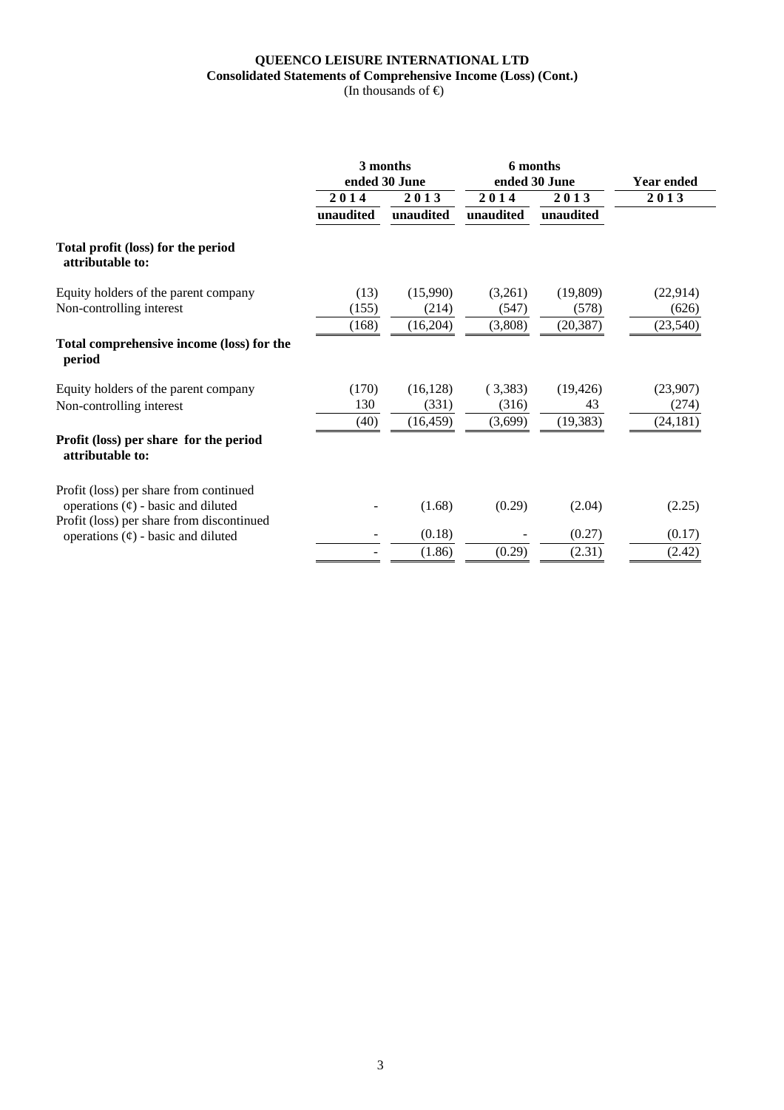## **QUEENCO LEISURE INTERNATIONAL LTD Consolidated Statements of Comprehensive Income (Loss) (Cont.)**

(In thousands of  $\Theta$ )

|                                                                                      |               | 3 months<br>ended 30 June |                  | 6 months<br>ended 30 June | <b>Year ended</b> |
|--------------------------------------------------------------------------------------|---------------|---------------------------|------------------|---------------------------|-------------------|
|                                                                                      | 2014          | 2013                      | 2014             | 2013                      | 2013              |
|                                                                                      | unaudited     | unaudited                 | unaudited        | unaudited                 |                   |
| Total profit (loss) for the period<br>attributable to:                               |               |                           |                  |                           |                   |
| Equity holders of the parent company<br>Non-controlling interest                     | (13)<br>(155) | (15,990)<br>(214)         | (3,261)<br>(547) | (19,809)<br>(578)         | (22,914)<br>(626) |
|                                                                                      | (168)         | (16,204)                  | (3,808)          | (20, 387)                 | (23,540)          |
| Total comprehensive income (loss) for the<br>period                                  |               |                           |                  |                           |                   |
| Equity holders of the parent company                                                 | (170)         | (16, 128)                 | (3,383)          | (19, 426)                 | (23,907)          |
| Non-controlling interest                                                             | 130           | (331)                     | (316)            | 43                        | (274)             |
|                                                                                      | (40)          | (16, 459)                 | (3,699)          | (19, 383)                 | (24, 181)         |
| Profit (loss) per share for the period<br>attributable to:                           |               |                           |                  |                           |                   |
| Profit (loss) per share from continued<br>operations $(\phi)$ - basic and diluted    |               | (1.68)                    | (0.29)           | (2.04)                    | (2.25)            |
| Profit (loss) per share from discontinued<br>operations $(\phi)$ - basic and diluted |               | (0.18)                    |                  | (0.27)                    | (0.17)            |
|                                                                                      |               | (1.86)                    | (0.29)           | (2.31)                    | (2.42)            |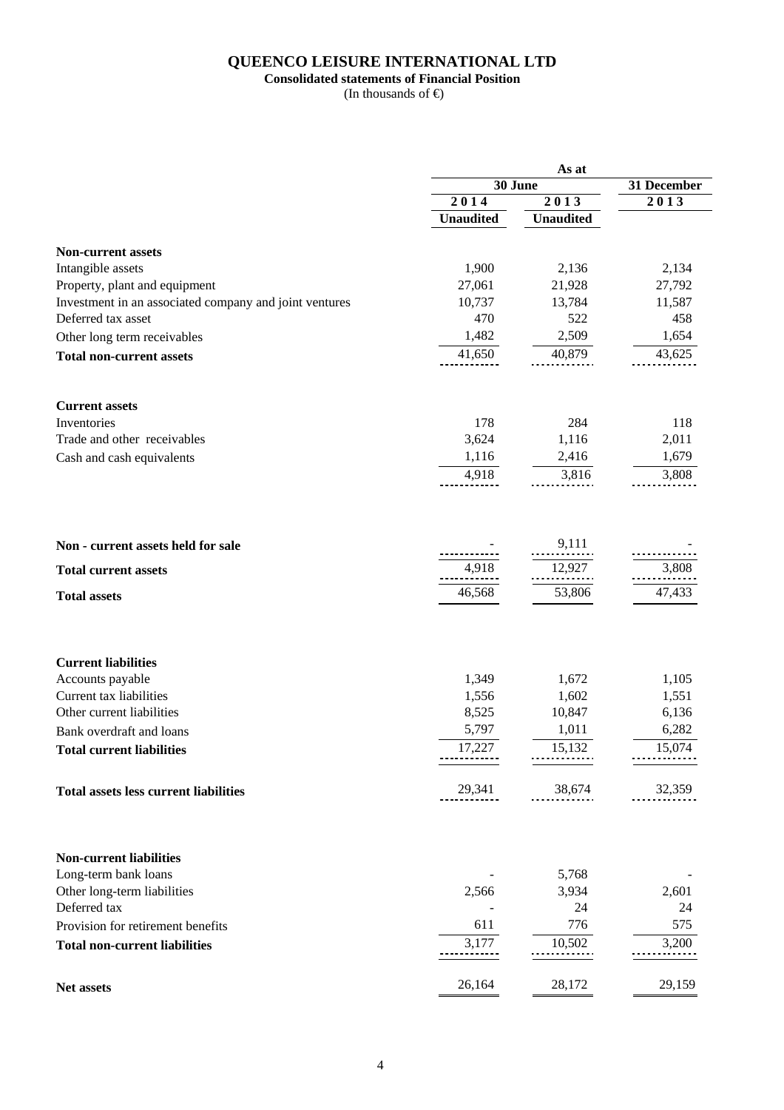#### **QUEENCO LEISURE INTERNATIONAL LTD**

#### **Consolidated statements of Financial Position**

|                                                        |                  | As at            |             |  |
|--------------------------------------------------------|------------------|------------------|-------------|--|
|                                                        |                  | 30 June          | 31 December |  |
|                                                        | 2014             | 2013             | 2013        |  |
|                                                        | <b>Unaudited</b> | <b>Unaudited</b> |             |  |
| <b>Non-current assets</b>                              |                  |                  |             |  |
| Intangible assets                                      | 1,900            | 2,136            | 2,134       |  |
| Property, plant and equipment                          | 27,061           | 21,928           | 27,792      |  |
| Investment in an associated company and joint ventures | 10,737           | 13,784           | 11,587      |  |
| Deferred tax asset                                     | 470              | 522              | 458         |  |
| Other long term receivables                            | 1,482            | 2,509            | 1,654       |  |
| <b>Total non-current assets</b>                        | 41,650           | 40,879           | 43,625      |  |
|                                                        |                  |                  |             |  |
| <b>Current assets</b>                                  |                  |                  |             |  |
| Inventories                                            | 178              | 284              | 118         |  |
| Trade and other receivables                            | 3,624            | 1,116            | 2,011       |  |
| Cash and cash equivalents                              | 1,116            | 2,416            | 1,679       |  |
|                                                        | 4,918            | 3,816            | 3,808       |  |
|                                                        |                  |                  |             |  |
| Non - current assets held for sale                     |                  | 9,111            |             |  |
| <b>Total current assets</b>                            | 4,918            | 12,927           | 3,808       |  |
|                                                        |                  |                  |             |  |
| <b>Total assets</b>                                    | 46,568           | 53,806           | 47,433      |  |
|                                                        |                  |                  |             |  |
| <b>Current liabilities</b>                             |                  |                  |             |  |
| Accounts payable                                       | 1,349            | 1,672            | 1,105       |  |
| Current tax liabilities                                | 1,556            | 1,602            | 1,551       |  |
| Other current liabilities                              | 8,525            | 10,847           | 6,136       |  |
| Bank overdraft and loans                               | 5,797            | 1,011            | 6,282       |  |
| <b>Total current liabilities</b>                       | 17,227           | 15,132           | 15,074      |  |
| <b>Total assets less current liabilities</b>           | 29,341           | 38,674           | 32,359      |  |
| <b>Non-current liabilities</b>                         |                  |                  |             |  |
| Long-term bank loans                                   |                  | 5,768            |             |  |
| Other long-term liabilities                            | 2,566            | 3,934            | 2,601       |  |
| Deferred tax                                           |                  | 24               | 24          |  |
| Provision for retirement benefits                      | 611              | 776              | 575         |  |
|                                                        | 3,177            | 10,502           | 3,200       |  |
| <b>Total non-current liabilities</b>                   |                  |                  |             |  |
| Net assets                                             | 26,164           | 28,172           | 29,159      |  |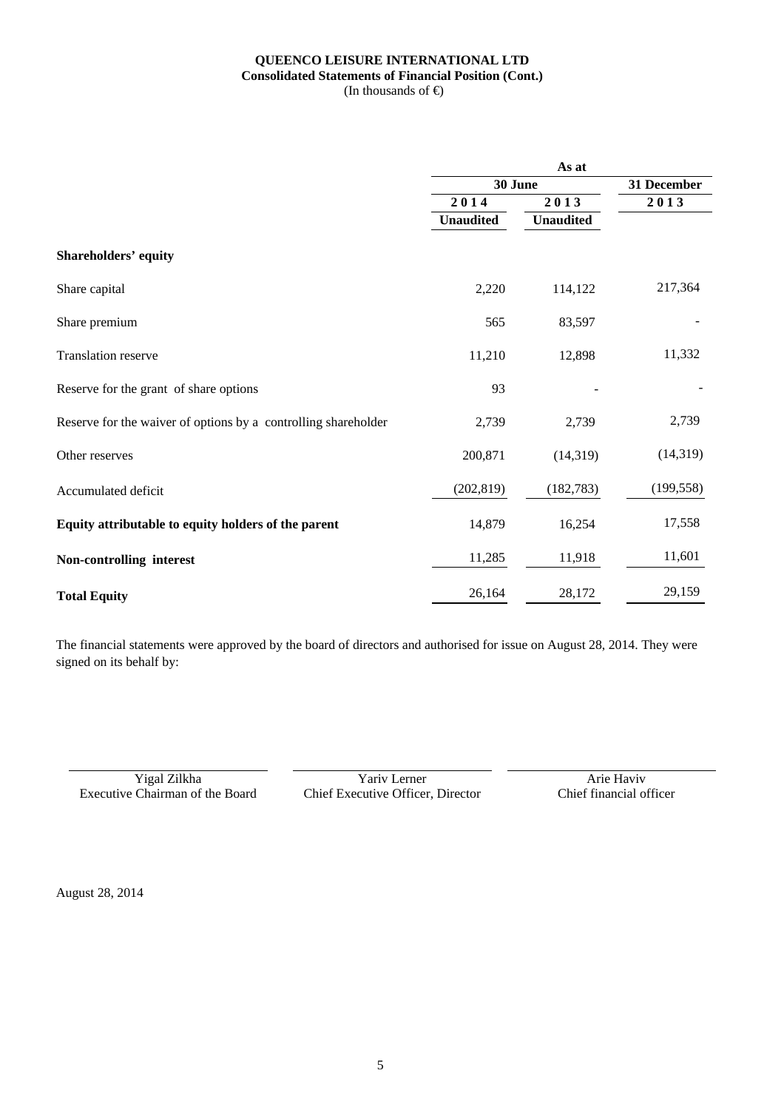#### **QUEENCO LEISURE INTERNATIONAL LTD Consolidated Statements of Financial Position (Cont.)**  (In thousands of  $\bigoplus$

|                                                                | As at            |                  |             |  |  |  |
|----------------------------------------------------------------|------------------|------------------|-------------|--|--|--|
|                                                                | 30 June          |                  | 31 December |  |  |  |
|                                                                | 2014             | 2013             | 2013        |  |  |  |
|                                                                | <b>Unaudited</b> | <b>Unaudited</b> |             |  |  |  |
| <b>Shareholders' equity</b>                                    |                  |                  |             |  |  |  |
| Share capital                                                  | 2,220            | 114,122          | 217,364     |  |  |  |
| Share premium                                                  | 565              | 83,597           |             |  |  |  |
| Translation reserve                                            | 11,210           | 12,898           | 11,332      |  |  |  |
| Reserve for the grant of share options                         | 93               |                  |             |  |  |  |
| Reserve for the waiver of options by a controlling shareholder | 2,739            | 2,739            | 2,739       |  |  |  |
| Other reserves                                                 | 200,871          | (14, 319)        | (14,319)    |  |  |  |
| Accumulated deficit                                            | (202, 819)       | (182, 783)       | (199, 558)  |  |  |  |
| Equity attributable to equity holders of the parent            | 14,879           | 16,254           | 17,558      |  |  |  |
| Non-controlling interest                                       | 11,285           | 11,918           | 11,601      |  |  |  |
| <b>Total Equity</b>                                            | 26,164           | 28,172           | 29,159      |  |  |  |

The financial statements were approved by the board of directors and authorised for issue on August 28, 2014. They were signed on its behalf by:

Vigal Zilkha Yariv Lerner Arie Haviv<br>Executive Chairman of the Board Chief Executive Officer, Director Chief financial officer

Chief Executive Officer, Director

August 28, 2014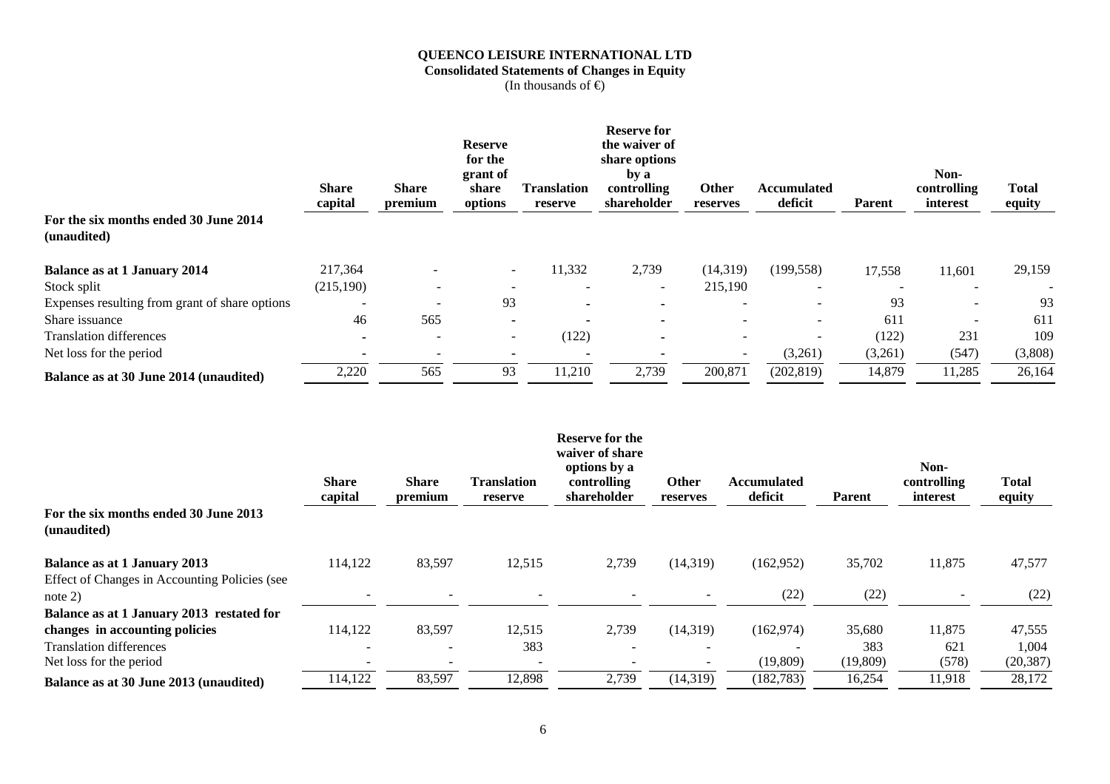## **QUEENCO LEISURE INTERNATIONAL LTD Consolidated Statements of Changes in Equity**

|                                                      | <b>Share</b><br>capital | <b>Share</b><br>premium  | <b>Reserve</b><br>for the<br>grant of<br>share<br>options | <b>Translation</b><br>reserve | <b>Reserve for</b><br>the waiver of<br>share options<br>by a<br>controlling<br>shareholder | Other<br>reserves | <b>Accumulated</b><br>deficit | Parent  | Non-<br>controlling<br>interest | Total<br>equity |
|------------------------------------------------------|-------------------------|--------------------------|-----------------------------------------------------------|-------------------------------|--------------------------------------------------------------------------------------------|-------------------|-------------------------------|---------|---------------------------------|-----------------|
| For the six months ended 30 June 2014<br>(unaudited) |                         |                          |                                                           |                               |                                                                                            |                   |                               |         |                                 |                 |
|                                                      |                         |                          |                                                           |                               |                                                                                            |                   |                               |         |                                 |                 |
| <b>Balance as at 1 January 2014</b>                  | 217,364                 |                          | $\sim$                                                    | 11,332                        | 2,739                                                                                      | (14,319)          | (199, 558)                    | 17,558  | 11,601                          | 29,159          |
| Stock split                                          | (215, 190)              | $\overline{\phantom{a}}$ |                                                           |                               |                                                                                            | 215,190           | $\overline{\phantom{a}}$      |         |                                 |                 |
| Expenses resulting from grant of share options       |                         |                          | 93                                                        |                               |                                                                                            |                   | $\overline{\phantom{a}}$      | 93      |                                 | 93              |
| Share issuance                                       | 46                      | 565                      |                                                           |                               | $\blacksquare$                                                                             |                   | $\overline{\phantom{a}}$      | 611     |                                 | 611             |
| <b>Translation differences</b>                       |                         |                          | $\sim$                                                    | (122)                         |                                                                                            | $\sim$            | $\sim$                        | (122)   | 231                             | 109             |
| Net loss for the period                              |                         |                          |                                                           |                               |                                                                                            |                   | (3,261)                       | (3,261) | (547)                           | (3,808)         |
| Balance as at 30 June 2014 (unaudited)               | 2,220                   | 565                      | 93                                                        | 11,210                        | 2,739                                                                                      | 200,871           | (202, 819)                    | 14,879  | 11,285                          | 26,164          |

|                                                            | <b>Share</b><br>capital | <b>Share</b><br>premium  | <b>Translation</b><br>reserve | <b>Reserve for the</b><br>waiver of share<br>options by a<br>controlling<br>shareholder | Other<br>reserves        | <b>Accumulated</b><br>deficit | <b>Parent</b> | Non-<br>controlling<br>interest | <b>Total</b><br>equity |
|------------------------------------------------------------|-------------------------|--------------------------|-------------------------------|-----------------------------------------------------------------------------------------|--------------------------|-------------------------------|---------------|---------------------------------|------------------------|
| For the six months ended 30 June 2013<br>(unaudited)       |                         |                          |                               |                                                                                         |                          |                               |               |                                 |                        |
| <b>Balance as at 1 January 2013</b>                        | 114,122                 | 83,597                   | 12,515                        | 2,739                                                                                   | (14, 319)                | (162,952)                     | 35,702        | 11,875                          | 47,577                 |
| Effect of Changes in Accounting Policies (see<br>note $2)$ |                         |                          |                               |                                                                                         |                          | (22)                          | (22)          |                                 | (22)                   |
| Balance as at 1 January 2013 restated for                  |                         |                          |                               |                                                                                         |                          |                               |               |                                 |                        |
| changes in accounting policies                             | 114,122                 | 83,597                   | 12,515                        | 2,739                                                                                   | (14, 319)                | (162, 974)                    | 35,680        | 11,875                          | 47,555                 |
| <b>Translation differences</b>                             |                         | $\overline{\phantom{a}}$ | 383                           |                                                                                         | $\overline{\phantom{0}}$ |                               | 383           | 621                             | 1,004                  |
| Net loss for the period                                    |                         |                          |                               |                                                                                         |                          | (19,809)                      | (19,809)      | (578)                           | (20, 387)              |
| Balance as at 30 June 2013 (unaudited)                     | 114,122                 | 83,597                   | 12,898                        | 2,739                                                                                   | (14, 319)                | (182, 783)                    | 16,254        | 11,918                          | 28,172                 |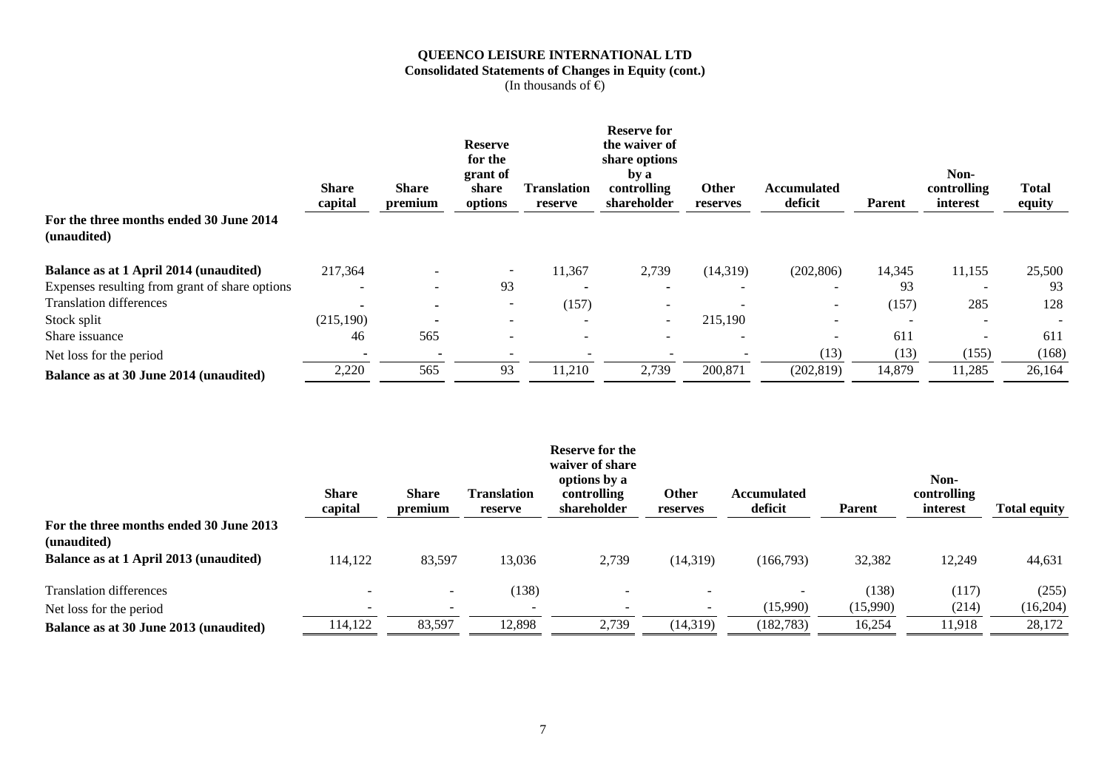## **QUEENCO LEISURE INTERNATIONAL LTD Consolidated Statements of Changes in Equity (cont.)**

|                                                | <b>Share</b><br>capital | <b>Share</b><br>premium | <b>Reserve</b><br>for the<br>grant of<br>share<br>options | <b>Translation</b><br>reserve | <b>Reserve for</b><br>the waiver of<br>share options<br>by a<br>controlling<br>shareholder | Other<br>reserves        | <b>Accumulated</b><br>deficit | <b>Parent</b> | Non-<br>controlling<br>interest | Total<br>equity |
|------------------------------------------------|-------------------------|-------------------------|-----------------------------------------------------------|-------------------------------|--------------------------------------------------------------------------------------------|--------------------------|-------------------------------|---------------|---------------------------------|-----------------|
| For the three months ended 30 June 2014        |                         |                         |                                                           |                               |                                                                                            |                          |                               |               |                                 |                 |
| (unaudited)                                    |                         |                         |                                                           |                               |                                                                                            |                          |                               |               |                                 |                 |
| Balance as at 1 April 2014 (unaudited)         | 217,364                 |                         | $\overline{\phantom{a}}$                                  | 11,367                        | 2,739                                                                                      | (14,319)                 | (202, 806)                    | 14,345        | 11,155                          | 25,500          |
| Expenses resulting from grant of share options |                         |                         | 93                                                        |                               |                                                                                            |                          | $\overline{\phantom{0}}$      | 93            |                                 | 93              |
| <b>Translation differences</b>                 |                         |                         | $\overline{\phantom{a}}$                                  | (157)                         |                                                                                            |                          | $\overline{\phantom{0}}$      | (157)         | 285                             | 128             |
| Stock split                                    | (215,190)               |                         | -                                                         |                               | $\overline{\phantom{a}}$                                                                   | 215,190                  |                               |               |                                 |                 |
| Share issuance                                 | 46                      | 565                     | $\overline{\phantom{0}}$                                  |                               |                                                                                            |                          |                               | 611           |                                 | 611             |
| Net loss for the period                        |                         |                         | $\overline{\phantom{0}}$                                  |                               |                                                                                            | $\overline{\phantom{a}}$ | (13)                          | (13)          | (155)                           | (168)           |
| Balance as at 30 June 2014 (unaudited)         | 2,220                   | 565                     | 93                                                        | 11,210                        | 2,739                                                                                      | 200,871                  | (202, 819)                    | 14,879        | 11,285                          | 26,164          |

|                                                        | <b>Share</b><br>capital | <b>Share</b><br>premium | <b>Translation</b><br>reserve | <b>Reserve for the</b><br>waiver of share<br>options by a<br>controlling<br>shareholder | Other<br>reserves        | <b>Accumulated</b><br>deficit | <b>Parent</b> | Non-<br>controlling<br>interest | <b>Total equity</b> |
|--------------------------------------------------------|-------------------------|-------------------------|-------------------------------|-----------------------------------------------------------------------------------------|--------------------------|-------------------------------|---------------|---------------------------------|---------------------|
| For the three months ended 30 June 2013<br>(unaudited) |                         |                         |                               |                                                                                         |                          |                               |               |                                 |                     |
| Balance as at 1 April 2013 (unaudited)                 | 114,122                 | 83,597                  | 13,036                        | 2,739                                                                                   | (14,319)                 | (166,793)                     | 32,382        | 12,249                          | 44,631              |
| <b>Translation differences</b>                         |                         |                         | (138)                         |                                                                                         |                          |                               | (138)         | (117)                           | (255)               |
| Net loss for the period                                |                         |                         |                               | $\overline{\phantom{a}}$                                                                | $\overline{\phantom{a}}$ | (15,990)                      | (15,990)      | (214)                           | (16,204)            |
| Balance as at 30 June 2013 (unaudited)                 | 114,122                 | 83,597                  | 12,898                        | 2,739                                                                                   | (14,319)                 | (182, 783)                    | 16,254        | 11,918                          | 28,172              |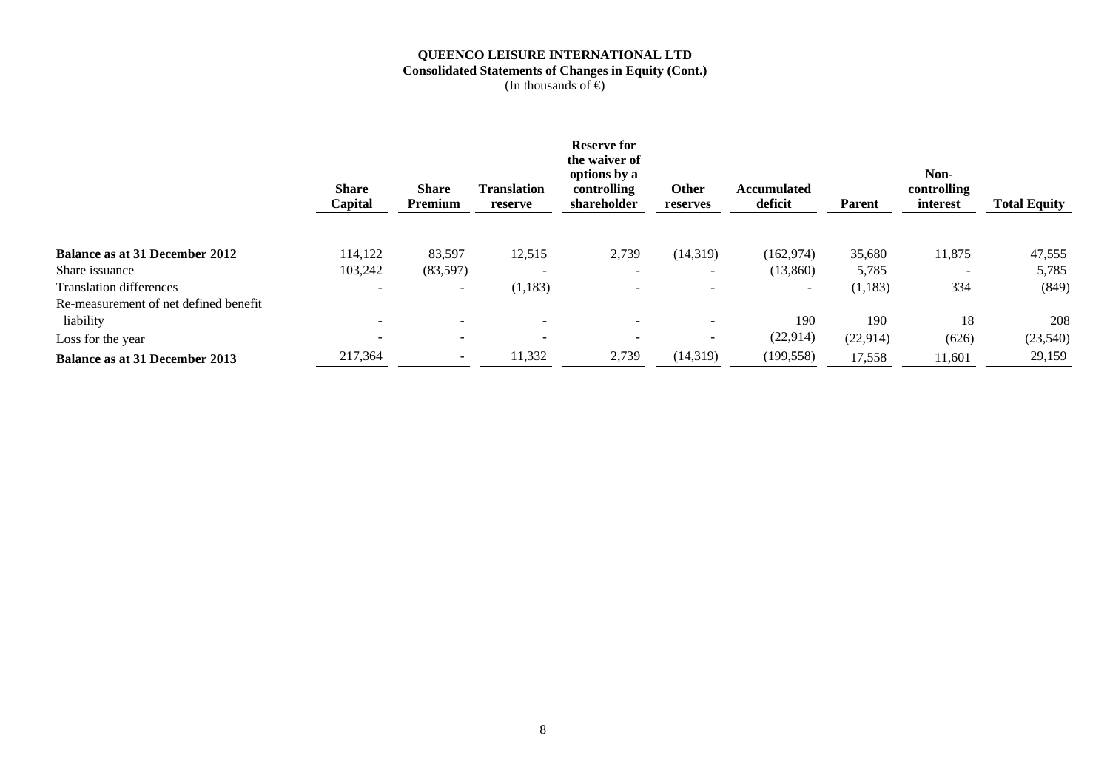### **QUEENCO LEISURE INTERNATIONAL LTD Consolidated Statements of Changes in Equity (Cont.)**

|                                       | <b>Share</b><br>Capital | <b>Share</b><br>Premium | <b>Translation</b><br>reserve | <b>Reserve for</b><br>the waiver of<br>options by a<br>controlling<br>shareholder | Other<br>reserves        | <b>Accumulated</b><br>deficit | <b>Parent</b> | Non-<br>controlling<br>interest | <b>Total Equity</b> |
|---------------------------------------|-------------------------|-------------------------|-------------------------------|-----------------------------------------------------------------------------------|--------------------------|-------------------------------|---------------|---------------------------------|---------------------|
|                                       |                         |                         |                               |                                                                                   |                          |                               |               |                                 |                     |
| Balance as at 31 December 2012        | 114,122                 | 83,597                  | 12,515                        | 2,739                                                                             | (14,319)                 | (162, 974)                    | 35,680        | 11,875                          | 47,555              |
| Share issuance                        | 103,242                 | (83,597)                |                               | -                                                                                 | $\overline{\phantom{0}}$ | (13, 860)                     | 5,785         |                                 | 5,785               |
| <b>Translation differences</b>        |                         |                         | (1, 183)                      |                                                                                   | $\overline{\phantom{a}}$ | $\qquad \qquad \blacksquare$  | (1,183)       | 334                             | (849)               |
| Re-measurement of net defined benefit |                         |                         |                               |                                                                                   |                          |                               |               |                                 |                     |
| liability                             |                         |                         |                               |                                                                                   | $\overline{\phantom{a}}$ | 190                           | 190           | 18                              | 208                 |
| Loss for the year                     |                         |                         |                               |                                                                                   | $\overline{\phantom{0}}$ | (22, 914)                     | (22,914)      | (626)                           | (23,540)            |
| <b>Balance as at 31 December 2013</b> | 217,364                 |                         | 11,332                        | 2,739                                                                             | (14, 319)                | (199, 558)                    | 17,558        | 11,601                          | 29,159              |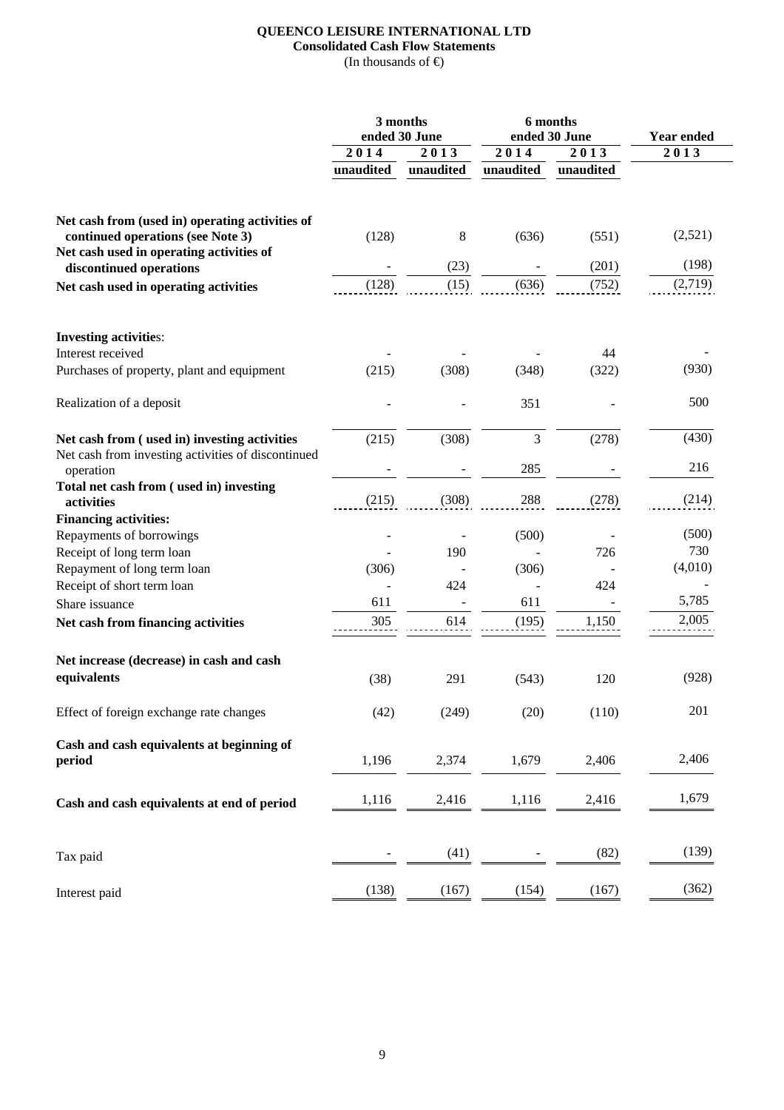## **QUEENCO LEISURE INTERNATIONAL LTD Consolidated Cash Flow Statements**

|                                                                               |                   | 3 months<br>ended 30 June |                          | 6 months<br>ended 30 June | <b>Year ended</b> |  |  |
|-------------------------------------------------------------------------------|-------------------|---------------------------|--------------------------|---------------------------|-------------------|--|--|
|                                                                               | $\overline{2}014$ | 2013                      | 2014                     | 2013                      | 2013              |  |  |
|                                                                               | unaudited         | unaudited                 | unaudited                | unaudited                 |                   |  |  |
| Net cash from (used in) operating activities of                               |                   |                           |                          |                           |                   |  |  |
| continued operations (see Note 3)<br>Net cash used in operating activities of | (128)             | 8                         | (636)                    | (551)                     | (2,521)           |  |  |
| discontinued operations                                                       |                   | (23)                      |                          | (201)                     | (198)             |  |  |
| Net cash used in operating activities                                         | (128)             | (15)                      | (636)                    | (752)                     | (2,719)           |  |  |
| <b>Investing activities:</b>                                                  |                   |                           |                          |                           |                   |  |  |
| Interest received                                                             |                   |                           |                          | 44                        |                   |  |  |
| Purchases of property, plant and equipment                                    | (215)             | (308)                     | (348)                    | (322)                     | (930)             |  |  |
| Realization of a deposit                                                      |                   |                           | 351                      |                           | 500               |  |  |
| Net cash from (used in) investing activities                                  | (215)             | (308)                     | 3                        | (278)                     | (430)             |  |  |
| Net cash from investing activities of discontinued<br>operation               |                   |                           | 285                      |                           | 216               |  |  |
| Total net cash from (used in) investing<br>activities                         | (215)             | (308)                     | 288                      | (278)                     | (214)             |  |  |
| <b>Financing activities:</b>                                                  |                   |                           |                          |                           |                   |  |  |
| Repayments of borrowings                                                      |                   |                           | (500)                    |                           | (500)             |  |  |
| Receipt of long term loan                                                     |                   | 190                       |                          | 726                       | 730               |  |  |
| Repayment of long term loan                                                   | (306)             |                           | (306)                    |                           | (4,010)           |  |  |
| Receipt of short term loan                                                    |                   | 424                       | $\overline{\phantom{a}}$ | 424                       |                   |  |  |
| Share issuance                                                                | 611               |                           | 611                      |                           | 5,785             |  |  |
| Net cash from financing activities                                            | 305               | 614                       | (195)                    | 1,150                     | 2,005             |  |  |
| Net increase (decrease) in cash and cash                                      |                   |                           |                          |                           |                   |  |  |
| equivalents                                                                   | (38)              | 291                       | (543)                    | 120                       | (928)             |  |  |
| Effect of foreign exchange rate changes                                       | (42)              | (249)                     | (20)                     | (110)                     | 201               |  |  |
| Cash and cash equivalents at beginning of                                     |                   |                           |                          |                           | 2,406             |  |  |
| period                                                                        | 1,196             | 2,374                     | 1,679                    | 2,406                     |                   |  |  |
| Cash and cash equivalents at end of period                                    | 1,116             | 2,416                     | 1,116                    | 2,416                     | 1,679             |  |  |
| Tax paid                                                                      |                   | (41)                      |                          | (82)                      | (139)             |  |  |
| Interest paid                                                                 | (138)             | (167)                     | (154)                    | (167)                     | (362)             |  |  |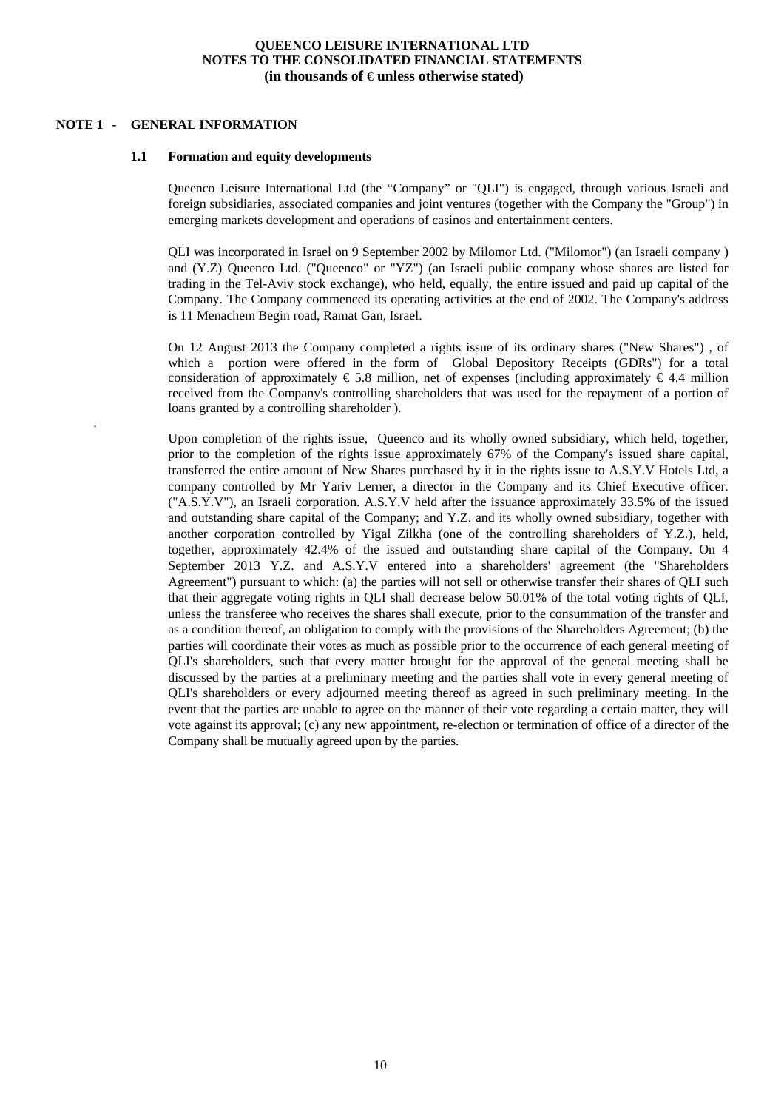#### **NOTE 1 - GENERAL INFORMATION**

.

#### **1.1 Formation and equity developments**

Queenco Leisure International Ltd (the "Company" or "QLI") is engaged, through various Israeli and foreign subsidiaries, associated companies and joint ventures (together with the Company the "Group") in emerging markets development and operations of casinos and entertainment centers.

QLI was incorporated in Israel on 9 September 2002 by Milomor Ltd. ("Milomor") (an Israeli company ) and (Y.Z) Queenco Ltd. ("Queenco" or "YZ") (an Israeli public company whose shares are listed for trading in the Tel-Aviv stock exchange), who held, equally, the entire issued and paid up capital of the Company. The Company commenced its operating activities at the end of 2002. The Company's address is 11 Menachem Begin road, Ramat Gan, Israel.

On 12 August 2013 the Company completed a rights issue of its ordinary shares ("New Shares") , of which a portion were offered in the form of Global Depository Receipts (GDRs") for a total consideration of approximately  $\epsilon$  5.8 million, net of expenses (including approximately  $\epsilon$  4.4 million received from the Company's controlling shareholders that was used for the repayment of a portion of loans granted by a controlling shareholder ).

Upon completion of the rights issue, Queenco and its wholly owned subsidiary, which held, together, prior to the completion of the rights issue approximately 67% of the Company's issued share capital, transferred the entire amount of New Shares purchased by it in the rights issue to A.S.Y.V Hotels Ltd, a company controlled by Mr Yariv Lerner, a director in the Company and its Chief Executive officer. ("A.S.Y.V"), an Israeli corporation. A.S.Y.V held after the issuance approximately 33.5% of the issued and outstanding share capital of the Company; and Y.Z. and its wholly owned subsidiary, together with another corporation controlled by Yigal Zilkha (one of the controlling shareholders of Y.Z.), held, together, approximately 42.4% of the issued and outstanding share capital of the Company. On 4 September 2013 Y.Z. and A.S.Y.V entered into a shareholders' agreement (the "Shareholders Agreement") pursuant to which: (a) the parties will not sell or otherwise transfer their shares of QLI such that their aggregate voting rights in QLI shall decrease below 50.01% of the total voting rights of QLI, unless the transferee who receives the shares shall execute, prior to the consummation of the transfer and as a condition thereof, an obligation to comply with the provisions of the Shareholders Agreement; (b) the parties will coordinate their votes as much as possible prior to the occurrence of each general meeting of QLI's shareholders, such that every matter brought for the approval of the general meeting shall be discussed by the parties at a preliminary meeting and the parties shall vote in every general meeting of QLI's shareholders or every adjourned meeting thereof as agreed in such preliminary meeting. In the event that the parties are unable to agree on the manner of their vote regarding a certain matter, they will vote against its approval; (c) any new appointment, re-election or termination of office of a director of the Company shall be mutually agreed upon by the parties.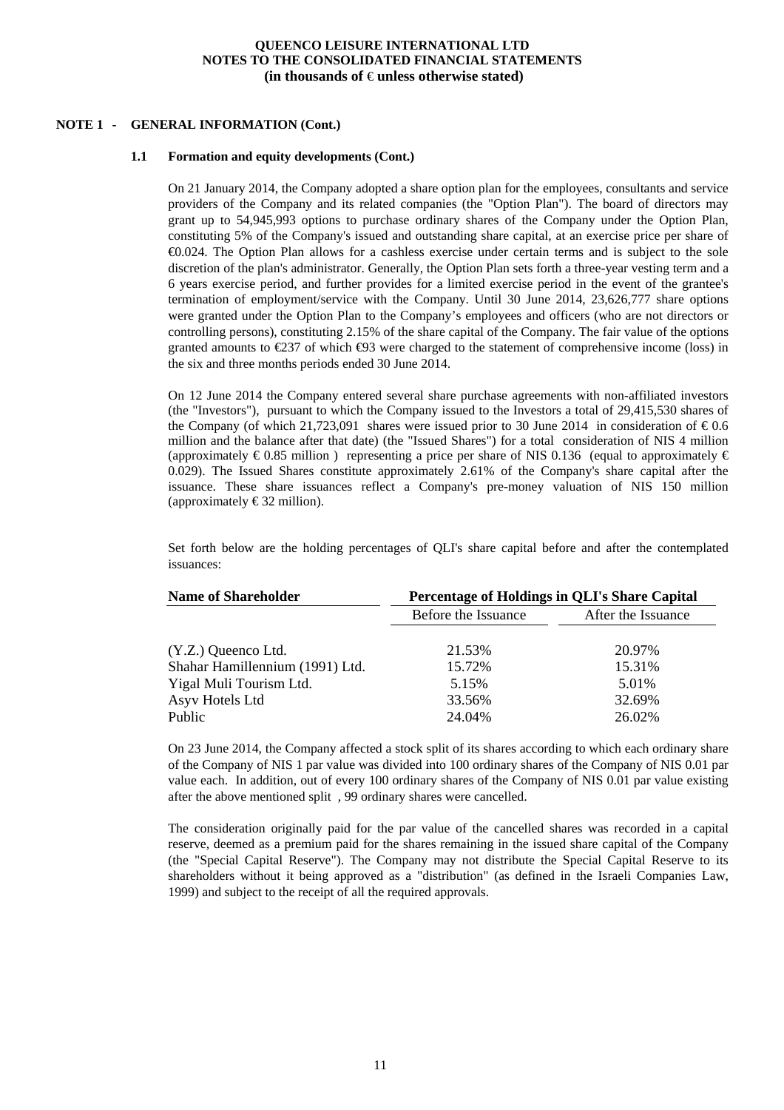#### **NOTE 1 - GENERAL INFORMATION (Cont.)**

#### **1.1 Formation and equity developments (Cont.)**

On 21 January 2014, the Company adopted a share option plan for the employees, consultants and service providers of the Company and its related companies (the "Option Plan"). The board of directors may grant up to 54,945,993 options to purchase ordinary shares of the Company under the Option Plan, constituting 5% of the Company's issued and outstanding share capital, at an exercise price per share of €0.024. The Option Plan allows for a cashless exercise under certain terms and is subject to the sole discretion of the plan's administrator. Generally, the Option Plan sets forth a three-year vesting term and a 6 years exercise period, and further provides for a limited exercise period in the event of the grantee's termination of employment/service with the Company. Until 30 June 2014, 23,626,777 share options were granted under the Option Plan to the Company's employees and officers (who are not directors or controlling persons), constituting 2.15% of the share capital of the Company. The fair value of the options granted amounts to  $\epsilon$ 237 of which  $\epsilon$ 93 were charged to the statement of comprehensive income (loss) in the six and three months periods ended 30 June 2014.

On 12 June 2014 the Company entered several share purchase agreements with non-affiliated investors (the "Investors"), pursuant to which the Company issued to the Investors a total of 29,415,530 shares of the Company (of which 21,723,091 shares were issued prior to 30 June 2014 in consideration of  $\epsilon 0.6$ million and the balance after that date) (the "Issued Shares") for a total consideration of NIS 4 million (approximately  $\epsilon$ 0.85 million) representing a price per share of NIS 0.136 (equal to approximately  $\epsilon$ 0.029). The Issued Shares constitute approximately 2.61% of the Company's share capital after the issuance. These share issuances reflect a Company's pre-money valuation of NIS 150 million (approximately  $\epsilon$ 32 million).

Set forth below are the holding percentages of QLI's share capital before and after the contemplated issuances:

| <b>Name of Shareholder</b>      | Percentage of Holdings in QLI's Share Capital |                    |  |  |
|---------------------------------|-----------------------------------------------|--------------------|--|--|
|                                 | Before the Issuance                           | After the Issuance |  |  |
|                                 |                                               |                    |  |  |
| $(Y.Z.)$ Queenco Ltd.           | 21.53%                                        | 20.97%             |  |  |
| Shahar Hamillennium (1991) Ltd. | 15.72%                                        | 15.31%             |  |  |
| Yigal Muli Tourism Ltd.         | 5.15%                                         | 5.01%              |  |  |
| Asyv Hotels Ltd                 | 33.56%                                        | 32.69%             |  |  |
| Public                          | 24.04%                                        | 26.02%             |  |  |

On 23 June 2014, the Company affected a stock split of its shares according to which each ordinary share of the Company of NIS 1 par value was divided into 100 ordinary shares of the Company of NIS 0.01 par value each. In addition, out of every 100 ordinary shares of the Company of NIS 0.01 par value existing after the above mentioned split , 99 ordinary shares were cancelled.

The consideration originally paid for the par value of the cancelled shares was recorded in a capital reserve, deemed as a premium paid for the shares remaining in the issued share capital of the Company (the "Special Capital Reserve"). The Company may not distribute the Special Capital Reserve to its shareholders without it being approved as a "distribution" (as defined in the Israeli Companies Law, 1999) and subject to the receipt of all the required approvals.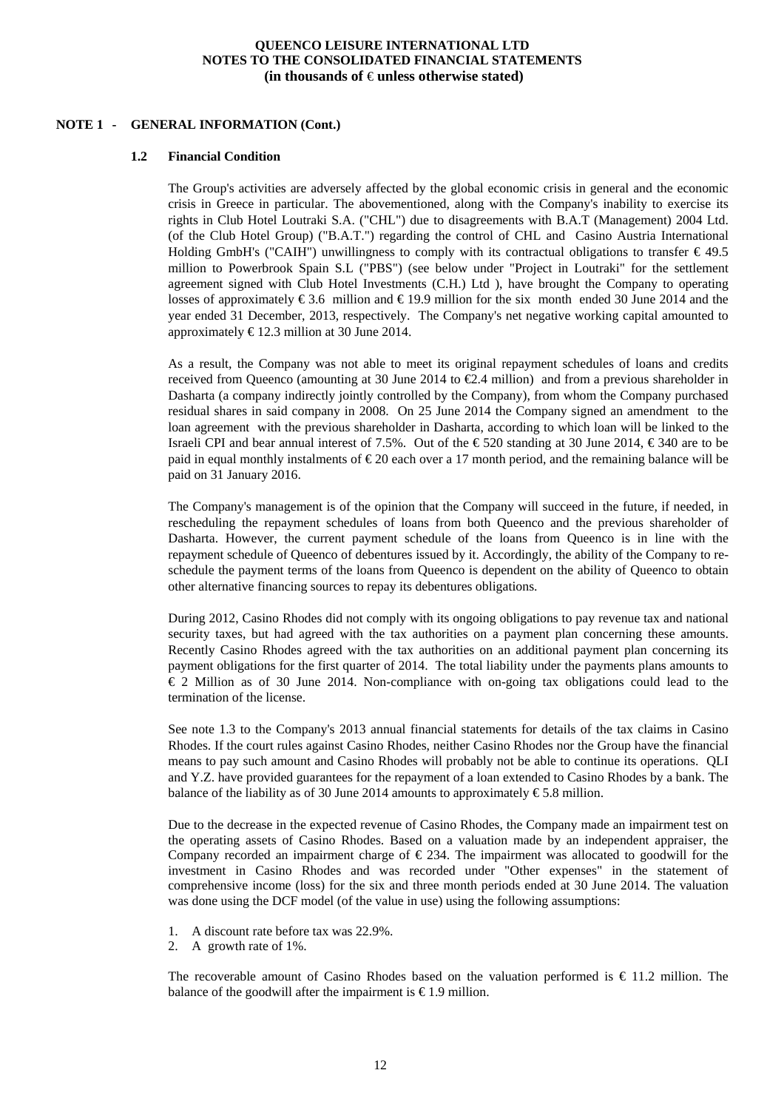#### **NOTE 1 - GENERAL INFORMATION (Cont.)**

#### **1.2 Financial Condition**

The Group's activities are adversely affected by the global economic crisis in general and the economic crisis in Greece in particular. The abovementioned, along with the Company's inability to exercise its rights in Club Hotel Loutraki S.A. ("CHL") due to disagreements with B.A.T (Management) 2004 Ltd. (of the Club Hotel Group) ("B.A.T.") regarding the control of CHL and Casino Austria International Holding GmbH's ("CAIH") unwillingness to comply with its contractual obligations to transfer  $\epsilon$  49.5 million to Powerbrook Spain S.L ("PBS") (see below under "Project in Loutraki" for the settlement agreement signed with Club Hotel Investments (C.H.) Ltd ), have brought the Company to operating losses of approximately  $\epsilon$ 3.6 million and  $\epsilon$ 19.9 million for the six month ended 30 June 2014 and the year ended 31 December, 2013, respectively. The Company's net negative working capital amounted to approximately  $\text{\textsterling}12.3$  million at 30 June 2014.

As a result, the Company was not able to meet its original repayment schedules of loans and credits received from Queenco (amounting at 30 June 2014 to  $\mathcal{L}$ .4 million) and from a previous shareholder in Dasharta (a company indirectly jointly controlled by the Company), from whom the Company purchased residual shares in said company in 2008. On 25 June 2014 the Company signed an amendment to the loan agreement with the previous shareholder in Dasharta, according to which loan will be linked to the Israeli CPI and bear annual interest of 7.5%. Out of the  $\epsilon$ 520 standing at 30 June 2014,  $\epsilon$ 340 are to be paid in equal monthly instalments of  $\epsilon$ 20 each over a 17 month period, and the remaining balance will be paid on 31 January 2016.

The Company's management is of the opinion that the Company will succeed in the future, if needed, in rescheduling the repayment schedules of loans from both Queenco and the previous shareholder of Dasharta. However, the current payment schedule of the loans from Queenco is in line with the repayment schedule of Queenco of debentures issued by it. Accordingly, the ability of the Company to reschedule the payment terms of the loans from Queenco is dependent on the ability of Queenco to obtain other alternative financing sources to repay its debentures obligations.

During 2012, Casino Rhodes did not comply with its ongoing obligations to pay revenue tax and national security taxes, but had agreed with the tax authorities on a payment plan concerning these amounts. Recently Casino Rhodes agreed with the tax authorities on an additional payment plan concerning its payment obligations for the first quarter of 2014. The total liability under the payments plans amounts to € 2 Million as of 30 June 2014. Non-compliance with on-going tax obligations could lead to the termination of the license.

See note 1.3 to the Company's 2013 annual financial statements for details of the tax claims in Casino Rhodes. If the court rules against Casino Rhodes, neither Casino Rhodes nor the Group have the financial means to pay such amount and Casino Rhodes will probably not be able to continue its operations. QLI and Y.Z. have provided guarantees for the repayment of a loan extended to Casino Rhodes by a bank. The balance of the liability as of 30 June 2014 amounts to approximately  $\epsilon$ 5.8 million.

Due to the decrease in the expected revenue of Casino Rhodes, the Company made an impairment test on the operating assets of Casino Rhodes. Based on a valuation made by an independent appraiser, the Company recorded an impairment charge of  $\epsilon$  234. The impairment was allocated to goodwill for the investment in Casino Rhodes and was recorded under "Other expenses" in the statement of comprehensive income (loss) for the six and three month periods ended at 30 June 2014. The valuation was done using the DCF model (of the value in use) using the following assumptions:

- 1. A discount rate before tax was 22.9%.
- 2. A growth rate of 1%.

The recoverable amount of Casino Rhodes based on the valuation performed is  $\epsilon$  11.2 million. The balance of the goodwill after the impairment is  $\epsilon$ 1.9 million.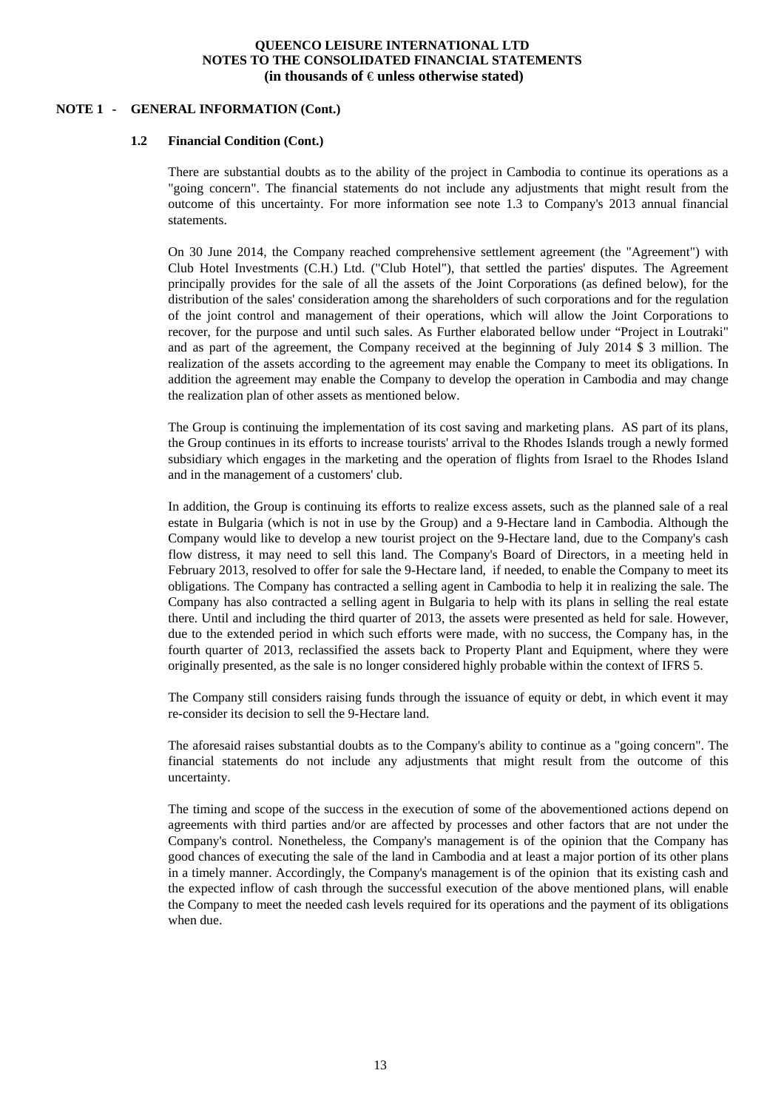#### **NOTE 1 - GENERAL INFORMATION (Cont.)**

#### **1.2 Financial Condition (Cont.)**

There are substantial doubts as to the ability of the project in Cambodia to continue its operations as a "going concern". The financial statements do not include any adjustments that might result from the outcome of this uncertainty. For more information see note 1.3 to Company's 2013 annual financial statements.

On 30 June 2014, the Company reached comprehensive settlement agreement (the "Agreement") with Club Hotel Investments (C.H.) Ltd. ("Club Hotel"), that settled the parties' disputes. The Agreement principally provides for the sale of all the assets of the Joint Corporations (as defined below), for the distribution of the sales' consideration among the shareholders of such corporations and for the regulation of the joint control and management of their operations, which will allow the Joint Corporations to recover, for the purpose and until such sales. As Further elaborated bellow under "Project in Loutraki" and as part of the agreement, the Company received at the beginning of July 2014 \$ 3 million. The realization of the assets according to the agreement may enable the Company to meet its obligations. In addition the agreement may enable the Company to develop the operation in Cambodia and may change the realization plan of other assets as mentioned below.

The Group is continuing the implementation of its cost saving and marketing plans. AS part of its plans, the Group continues in its efforts to increase tourists' arrival to the Rhodes Islands trough a newly formed subsidiary which engages in the marketing and the operation of flights from Israel to the Rhodes Island and in the management of a customers' club.

In addition, the Group is continuing its efforts to realize excess assets, such as the planned sale of a real estate in Bulgaria (which is not in use by the Group) and a 9-Hectare land in Cambodia. Although the Company would like to develop a new tourist project on the 9-Hectare land, due to the Company's cash flow distress, it may need to sell this land. The Company's Board of Directors, in a meeting held in February 2013, resolved to offer for sale the 9-Hectare land, if needed, to enable the Company to meet its obligations. The Company has contracted a selling agent in Cambodia to help it in realizing the sale. The Company has also contracted a selling agent in Bulgaria to help with its plans in selling the real estate there. Until and including the third quarter of 2013, the assets were presented as held for sale. However, due to the extended period in which such efforts were made, with no success, the Company has, in the fourth quarter of 2013, reclassified the assets back to Property Plant and Equipment, where they were originally presented, as the sale is no longer considered highly probable within the context of IFRS 5.

The Company still considers raising funds through the issuance of equity or debt, in which event it may re-consider its decision to sell the 9-Hectare land.

The aforesaid raises substantial doubts as to the Company's ability to continue as a "going concern". The financial statements do not include any adjustments that might result from the outcome of this uncertainty.

The timing and scope of the success in the execution of some of the abovementioned actions depend on agreements with third parties and/or are affected by processes and other factors that are not under the Company's control. Nonetheless, the Company's management is of the opinion that the Company has good chances of executing the sale of the land in Cambodia and at least a major portion of its other plans in a timely manner. Accordingly, the Company's management is of the opinion that its existing cash and the expected inflow of cash through the successful execution of the above mentioned plans, will enable the Company to meet the needed cash levels required for its operations and the payment of its obligations when due.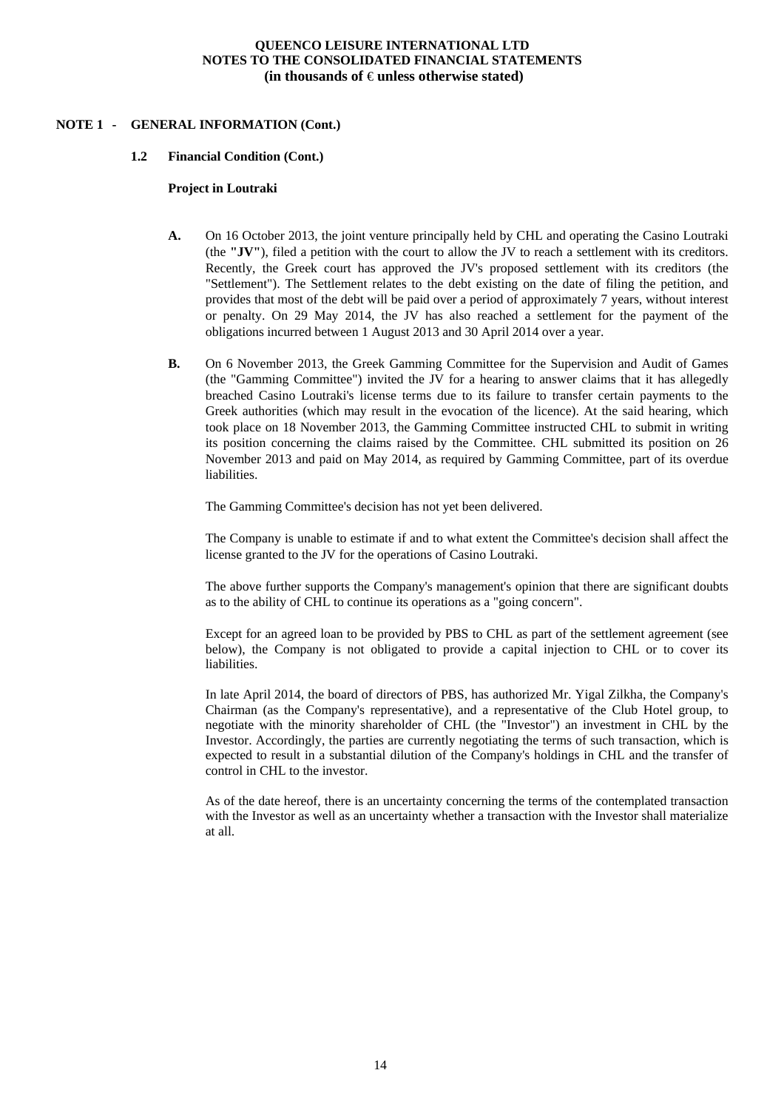#### **NOTE 1 - GENERAL INFORMATION (Cont.)**

#### **1.2 Financial Condition (Cont.)**

#### **Project in Loutraki**

- **A.** On 16 October 2013, the joint venture principally held by CHL and operating the Casino Loutraki (the **"JV"**), filed a petition with the court to allow the JV to reach a settlement with its creditors. Recently, the Greek court has approved the JV's proposed settlement with its creditors (the "Settlement"). The Settlement relates to the debt existing on the date of filing the petition, and provides that most of the debt will be paid over a period of approximately 7 years, without interest or penalty. On 29 May 2014, the JV has also reached a settlement for the payment of the obligations incurred between 1 August 2013 and 30 April 2014 over a year.
- **B.** On 6 November 2013, the Greek Gamming Committee for the Supervision and Audit of Games (the "Gamming Committee") invited the JV for a hearing to answer claims that it has allegedly breached Casino Loutraki's license terms due to its failure to transfer certain payments to the Greek authorities (which may result in the evocation of the licence). At the said hearing, which took place on 18 November 2013, the Gamming Committee instructed CHL to submit in writing its position concerning the claims raised by the Committee. CHL submitted its position on 26 November 2013 and paid on May 2014, as required by Gamming Committee, part of its overdue liabilities.

The Gamming Committee's decision has not yet been delivered.

The Company is unable to estimate if and to what extent the Committee's decision shall affect the license granted to the JV for the operations of Casino Loutraki.

The above further supports the Company's management's opinion that there are significant doubts as to the ability of CHL to continue its operations as a "going concern".

Except for an agreed loan to be provided by PBS to CHL as part of the settlement agreement (see below), the Company is not obligated to provide a capital injection to CHL or to cover its liabilities.

In late April 2014, the board of directors of PBS, has authorized Mr. Yigal Zilkha, the Company's Chairman (as the Company's representative), and a representative of the Club Hotel group, to negotiate with the minority shareholder of CHL (the "Investor") an investment in CHL by the Investor. Accordingly, the parties are currently negotiating the terms of such transaction, which is expected to result in a substantial dilution of the Company's holdings in CHL and the transfer of control in CHL to the investor.

As of the date hereof, there is an uncertainty concerning the terms of the contemplated transaction with the Investor as well as an uncertainty whether a transaction with the Investor shall materialize at all.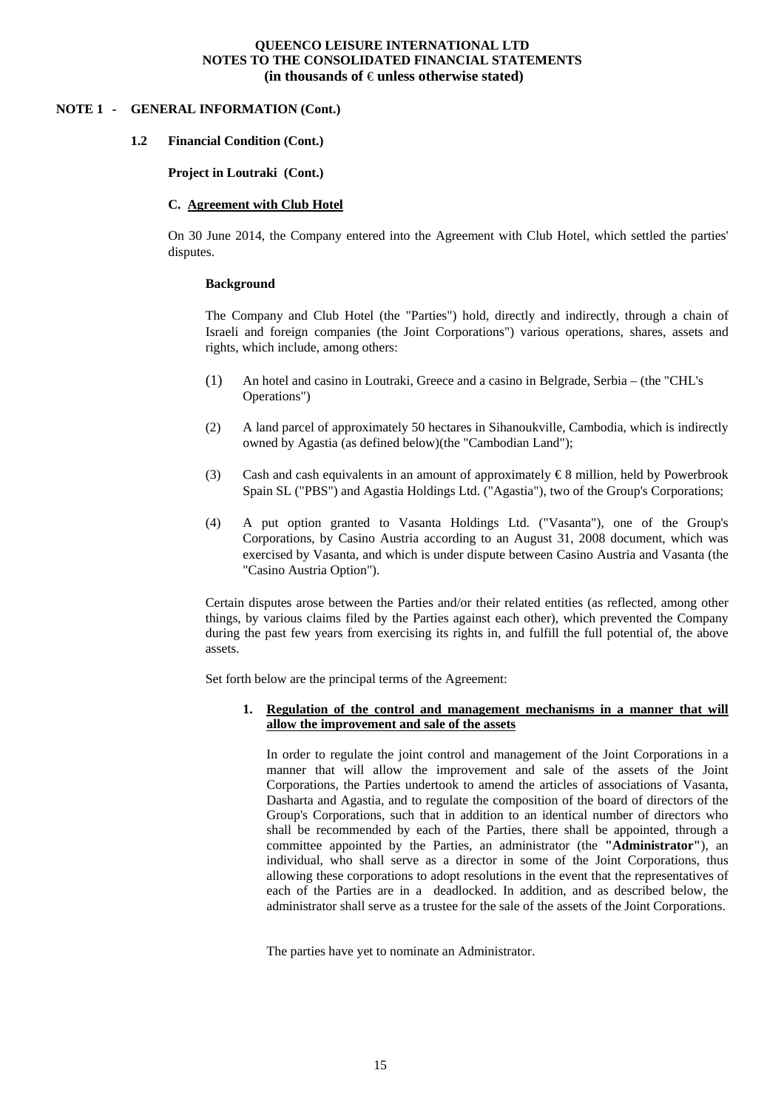#### **NOTE 1 - GENERAL INFORMATION (Cont.)**

#### **1.2 Financial Condition (Cont.)**

#### **Project in Loutraki (Cont.)**

#### **C. Agreement with Club Hotel**

On 30 June 2014, the Company entered into the Agreement with Club Hotel, which settled the parties' disputes.

#### **Background**

The Company and Club Hotel (the "Parties") hold, directly and indirectly, through a chain of Israeli and foreign companies (the Joint Corporations") various operations, shares, assets and rights, which include, among others:

- (1) An hotel and casino in Loutraki, Greece and a casino in Belgrade, Serbia (the "CHL's Operations")
- (2) A land parcel of approximately 50 hectares in Sihanoukville, Cambodia, which is indirectly owned by Agastia (as defined below)(the "Cambodian Land");
- (3) Cash and cash equivalents in an amount of approximately  $\epsilon$ 8 million, held by Powerbrook Spain SL ("PBS") and Agastia Holdings Ltd. ("Agastia"), two of the Group's Corporations;
- (4) A put option granted to Vasanta Holdings Ltd. ("Vasanta"), one of the Group's Corporations, by Casino Austria according to an August 31, 2008 document, which was exercised by Vasanta, and which is under dispute between Casino Austria and Vasanta (the "Casino Austria Option").

Certain disputes arose between the Parties and/or their related entities (as reflected, among other things, by various claims filed by the Parties against each other), which prevented the Company during the past few years from exercising its rights in, and fulfill the full potential of, the above assets.

Set forth below are the principal terms of the Agreement:

#### **1. Regulation of the control and management mechanisms in a manner that will allow the improvement and sale of the assets**

In order to regulate the joint control and management of the Joint Corporations in a manner that will allow the improvement and sale of the assets of the Joint Corporations, the Parties undertook to amend the articles of associations of Vasanta, Dasharta and Agastia, and to regulate the composition of the board of directors of the Group's Corporations, such that in addition to an identical number of directors who shall be recommended by each of the Parties, there shall be appointed, through a committee appointed by the Parties, an administrator (the **"Administrator"**), an individual, who shall serve as a director in some of the Joint Corporations, thus allowing these corporations to adopt resolutions in the event that the representatives of each of the Parties are in a deadlocked. In addition, and as described below, the administrator shall serve as a trustee for the sale of the assets of the Joint Corporations.

The parties have yet to nominate an Administrator.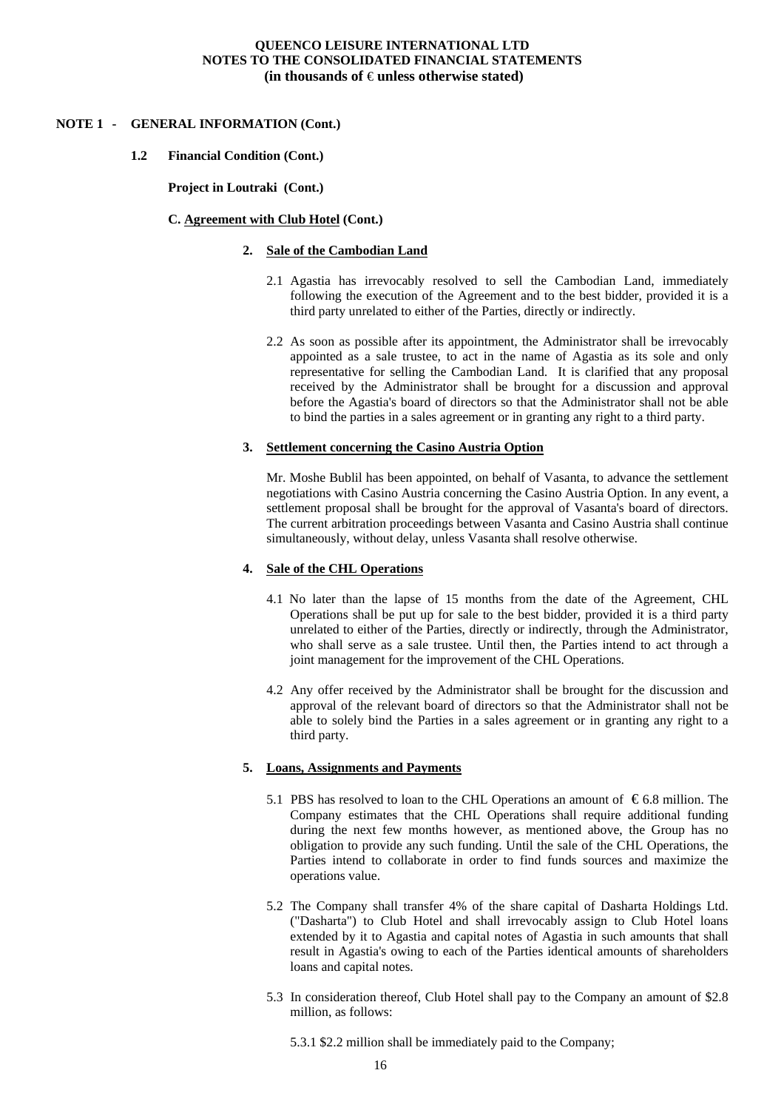#### **NOTE 1 - GENERAL INFORMATION (Cont.)**

#### **1.2 Financial Condition (Cont.)**

**Project in Loutraki (Cont.)** 

#### **C. Agreement with Club Hotel (Cont.)**

#### **2. Sale of the Cambodian Land**

- 2.1 Agastia has irrevocably resolved to sell the Cambodian Land, immediately following the execution of the Agreement and to the best bidder, provided it is a third party unrelated to either of the Parties, directly or indirectly.
- 2.2 As soon as possible after its appointment, the Administrator shall be irrevocably appointed as a sale trustee, to act in the name of Agastia as its sole and only representative for selling the Cambodian Land. It is clarified that any proposal received by the Administrator shall be brought for a discussion and approval before the Agastia's board of directors so that the Administrator shall not be able to bind the parties in a sales agreement or in granting any right to a third party.

#### **3. Settlement concerning the Casino Austria Option**

Mr. Moshe Bublil has been appointed, on behalf of Vasanta, to advance the settlement negotiations with Casino Austria concerning the Casino Austria Option. In any event, a settlement proposal shall be brought for the approval of Vasanta's board of directors. The current arbitration proceedings between Vasanta and Casino Austria shall continue simultaneously, without delay, unless Vasanta shall resolve otherwise.

#### **4. Sale of the CHL Operations**

- 4.1 No later than the lapse of 15 months from the date of the Agreement, CHL Operations shall be put up for sale to the best bidder, provided it is a third party unrelated to either of the Parties, directly or indirectly, through the Administrator, who shall serve as a sale trustee. Until then, the Parties intend to act through a joint management for the improvement of the CHL Operations.
- 4.2 Any offer received by the Administrator shall be brought for the discussion and approval of the relevant board of directors so that the Administrator shall not be able to solely bind the Parties in a sales agreement or in granting any right to a third party.

#### **5. Loans, Assignments and Payments**

- 5.1 PBS has resolved to loan to the CHL Operations an amount of  $\epsilon$ 6.8 million. The Company estimates that the CHL Operations shall require additional funding during the next few months however, as mentioned above, the Group has no obligation to provide any such funding. Until the sale of the CHL Operations, the Parties intend to collaborate in order to find funds sources and maximize the operations value.
- 5.2 The Company shall transfer 4% of the share capital of Dasharta Holdings Ltd. ("Dasharta") to Club Hotel and shall irrevocably assign to Club Hotel loans extended by it to Agastia and capital notes of Agastia in such amounts that shall result in Agastia's owing to each of the Parties identical amounts of shareholders loans and capital notes.
- 5.3 In consideration thereof, Club Hotel shall pay to the Company an amount of \$2.8 million, as follows:

5.3.1 \$2.2 million shall be immediately paid to the Company;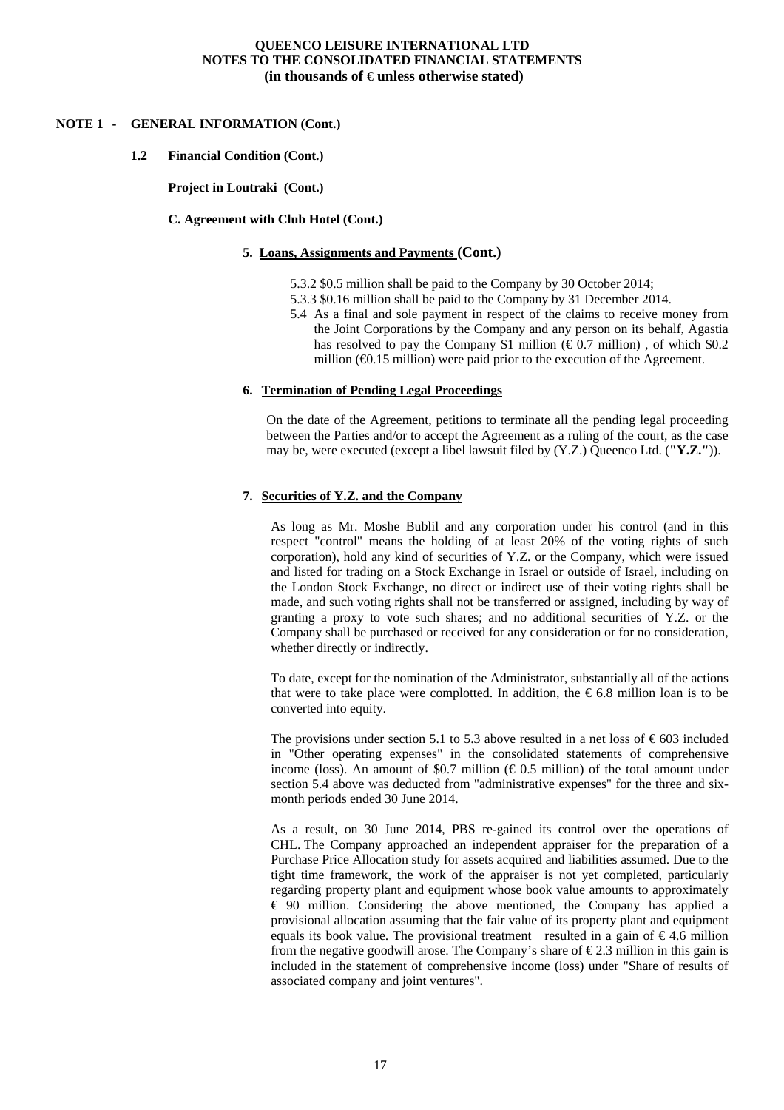#### **NOTE 1 - GENERAL INFORMATION (Cont.)**

#### **1.2 Financial Condition (Cont.)**

**Project in Loutraki (Cont.)** 

#### **C. Agreement with Club Hotel (Cont.)**

#### **5. Loans, Assignments and Payments (Cont.)**

- 5.3.2 \$0.5 million shall be paid to the Company by 30 October 2014;
- 5.3.3 \$0.16 million shall be paid to the Company by 31 December 2014.
- 5.4 As a final and sole payment in respect of the claims to receive money from the Joint Corporations by the Company and any person on its behalf, Agastia has resolved to pay the Company \$1 million ( $\epsilon$ 0.7 million), of which \$0.2 million  $(40.15 \text{ million})$  were paid prior to the execution of the Agreement.

#### **6. Termination of Pending Legal Proceedings**

On the date of the Agreement, petitions to terminate all the pending legal proceeding between the Parties and/or to accept the Agreement as a ruling of the court, as the case may be, were executed (except a libel lawsuit filed by (Y.Z.) Queenco Ltd. (**"Y.Z."**)).

#### **7. Securities of Y.Z. and the Company**

As long as Mr. Moshe Bublil and any corporation under his control (and in this respect "control" means the holding of at least 20% of the voting rights of such corporation), hold any kind of securities of Y.Z. or the Company, which were issued and listed for trading on a Stock Exchange in Israel or outside of Israel, including on the London Stock Exchange, no direct or indirect use of their voting rights shall be made, and such voting rights shall not be transferred or assigned, including by way of granting a proxy to vote such shares; and no additional securities of Y.Z. or the Company shall be purchased or received for any consideration or for no consideration, whether directly or indirectly.

To date, except for the nomination of the Administrator, substantially all of the actions that were to take place were complotted. In addition, the  $\epsilon$ 6.8 million loan is to be converted into equity.

The provisions under section 5.1 to 5.3 above resulted in a net loss of  $\epsilon$ 603 included in "Other operating expenses" in the consolidated statements of comprehensive income (loss). An amount of \$0.7 million ( $\epsilon$ 0.5 million) of the total amount under section 5.4 above was deducted from "administrative expenses" for the three and sixmonth periods ended 30 June 2014.

As a result, on 30 June 2014, PBS re-gained its control over the operations of CHL. The Company approached an independent appraiser for the preparation of a Purchase Price Allocation study for assets acquired and liabilities assumed. Due to the tight time framework, the work of the appraiser is not yet completed, particularly regarding property plant and equipment whose book value amounts to approximately € 90 million. Considering the above mentioned, the Company has applied a provisional allocation assuming that the fair value of its property plant and equipment equals its book value. The provisional treatment resulted in a gain of  $\epsilon$ 4.6 million from the negative goodwill arose. The Company's share of  $\epsilon$ 2.3 million in this gain is included in the statement of comprehensive income (loss) under "Share of results of associated company and joint ventures".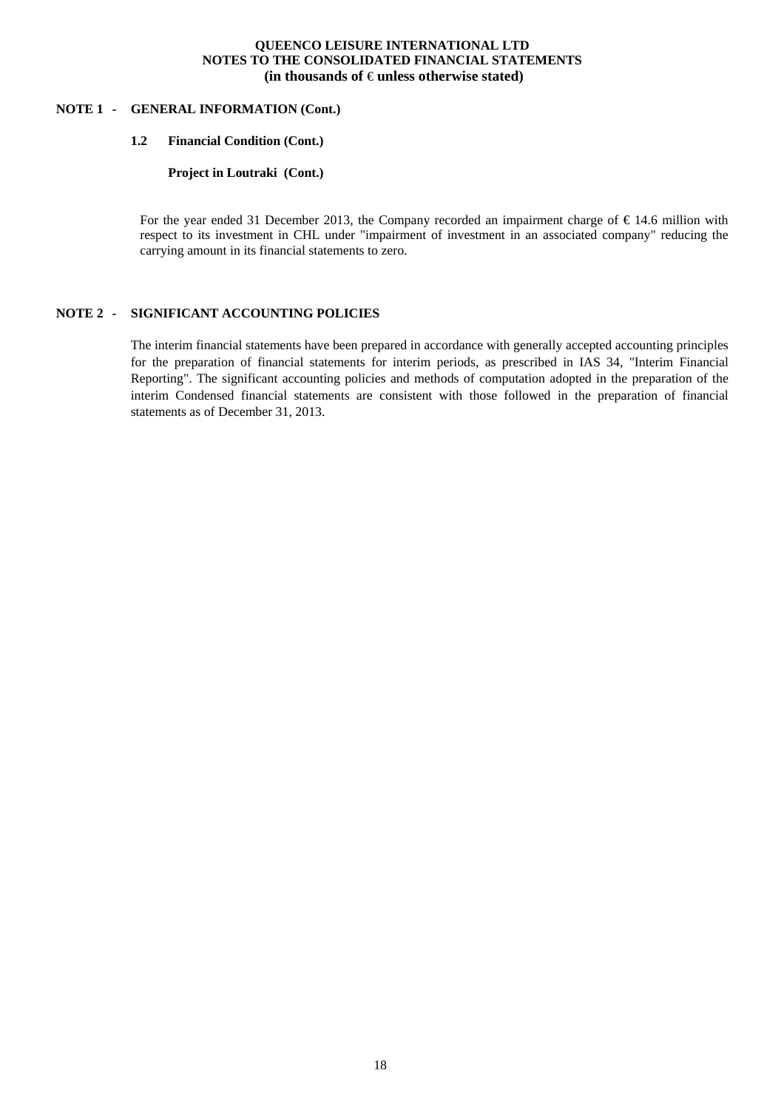#### **NOTE 1 - GENERAL INFORMATION (Cont.)**

#### **1.2 Financial Condition (Cont.)**

**Project in Loutraki (Cont.)** 

For the year ended 31 December 2013, the Company recorded an impairment charge of € 14.6 million with respect to its investment in CHL under "impairment of investment in an associated company" reducing the carrying amount in its financial statements to zero.

#### **NOTE 2 - SIGNIFICANT ACCOUNTING POLICIES**

The interim financial statements have been prepared in accordance with generally accepted accounting principles for the preparation of financial statements for interim periods, as prescribed in IAS 34, "Interim Financial Reporting". The significant accounting policies and methods of computation adopted in the preparation of the interim Condensed financial statements are consistent with those followed in the preparation of financial statements as of December 31, 2013.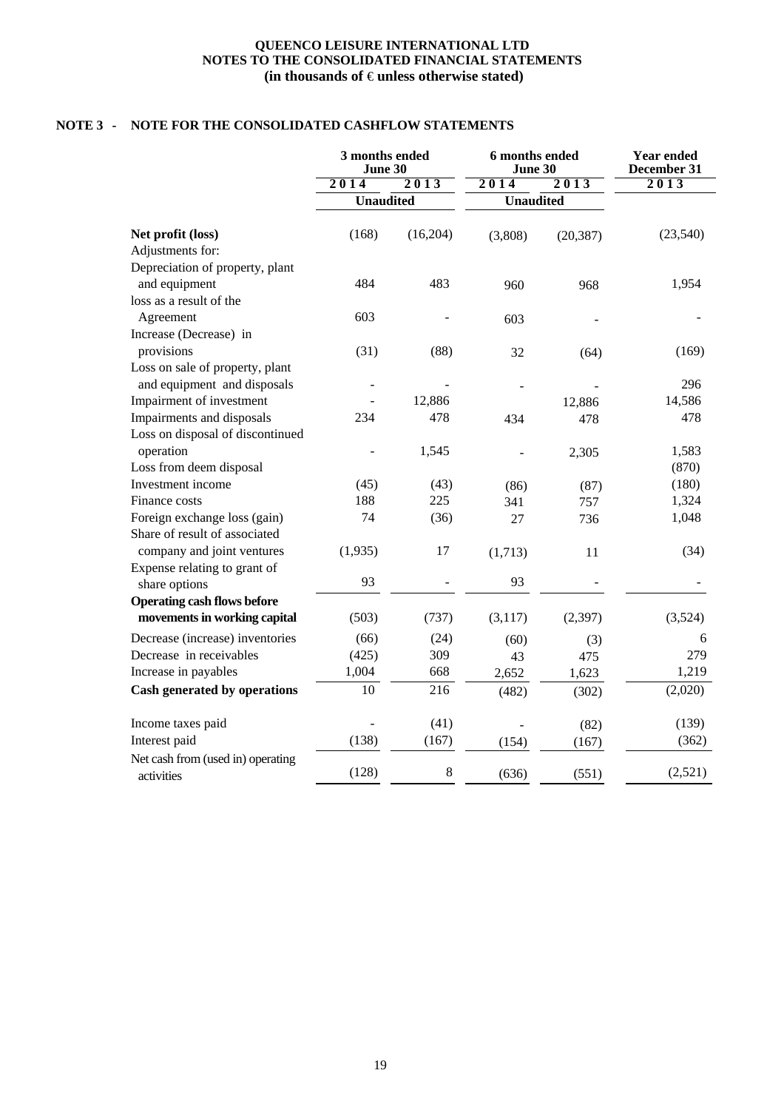## **NOTE 3 - NOTE FOR THE CONSOLIDATED CASHFLOW STATEMENTS**

|                                                 | 3 months ended<br>June 30 |          | 6 months ended<br>June 30 |           | <b>Year ended</b><br>December 31 |  |
|-------------------------------------------------|---------------------------|----------|---------------------------|-----------|----------------------------------|--|
|                                                 | 2014                      | 2013     | 2014                      | 2013      | 2013                             |  |
|                                                 | Unaudited                 |          | <b>Unaudited</b>          |           |                                  |  |
| Net profit (loss)                               | (168)                     | (16,204) | (3,808)                   | (20, 387) | (23,540)                         |  |
| Adjustments for:                                |                           |          |                           |           |                                  |  |
| Depreciation of property, plant                 |                           |          |                           |           |                                  |  |
| and equipment                                   | 484                       | 483      | 960                       | 968       | 1,954                            |  |
| loss as a result of the                         |                           |          |                           |           |                                  |  |
| Agreement                                       | 603                       |          | 603                       |           |                                  |  |
| Increase (Decrease) in                          |                           |          |                           |           |                                  |  |
| provisions                                      | (31)                      | (88)     | 32                        | (64)      | (169)                            |  |
| Loss on sale of property, plant                 |                           |          |                           |           |                                  |  |
| and equipment and disposals                     |                           |          |                           |           | 296                              |  |
| Impairment of investment                        |                           | 12,886   |                           | 12,886    | 14,586                           |  |
| Impairments and disposals                       | 234                       | 478      | 434                       | 478       | 478                              |  |
| Loss on disposal of discontinued                |                           |          |                           |           |                                  |  |
| operation                                       |                           | 1,545    |                           | 2,305     | 1,583                            |  |
| Loss from deem disposal                         |                           |          |                           |           | (870)                            |  |
| Investment income                               | (45)                      | (43)     | (86)                      | (87)      | (180)                            |  |
| Finance costs                                   | 188                       | 225      | 341                       | 757       | 1,324                            |  |
| Foreign exchange loss (gain)                    | 74                        | (36)     | 27                        | 736       | 1,048                            |  |
| Share of result of associated                   |                           |          |                           |           |                                  |  |
| company and joint ventures                      | (1,935)                   | 17       | (1,713)                   | 11        | (34)                             |  |
| Expense relating to grant of                    |                           |          |                           |           |                                  |  |
| share options                                   | 93                        |          | 93                        |           |                                  |  |
| <b>Operating cash flows before</b>              |                           |          |                           |           |                                  |  |
| movements in working capital                    | (503)                     | (737)    | (3,117)                   | (2, 397)  | (3,524)                          |  |
| Decrease (increase) inventories                 | (66)                      | (24)     | (60)                      | (3)       | 6                                |  |
| Decrease in receivables                         | (425)                     | 309      | 43                        | 475       | 279                              |  |
| Increase in payables                            | 1,004                     | 668      | 2,652                     | 1,623     | 1,219                            |  |
| Cash generated by operations                    | 10                        | 216      | (482)                     | (302)     | (2,020)                          |  |
| Income taxes paid                               |                           | (41)     |                           | (82)      | (139)                            |  |
| Interest paid                                   | (138)                     | (167)    | (154)                     | (167)     | (362)                            |  |
| Net cash from (used in) operating<br>activities | (128)                     | $\,8\,$  | (636)                     | (551)     | (2,521)                          |  |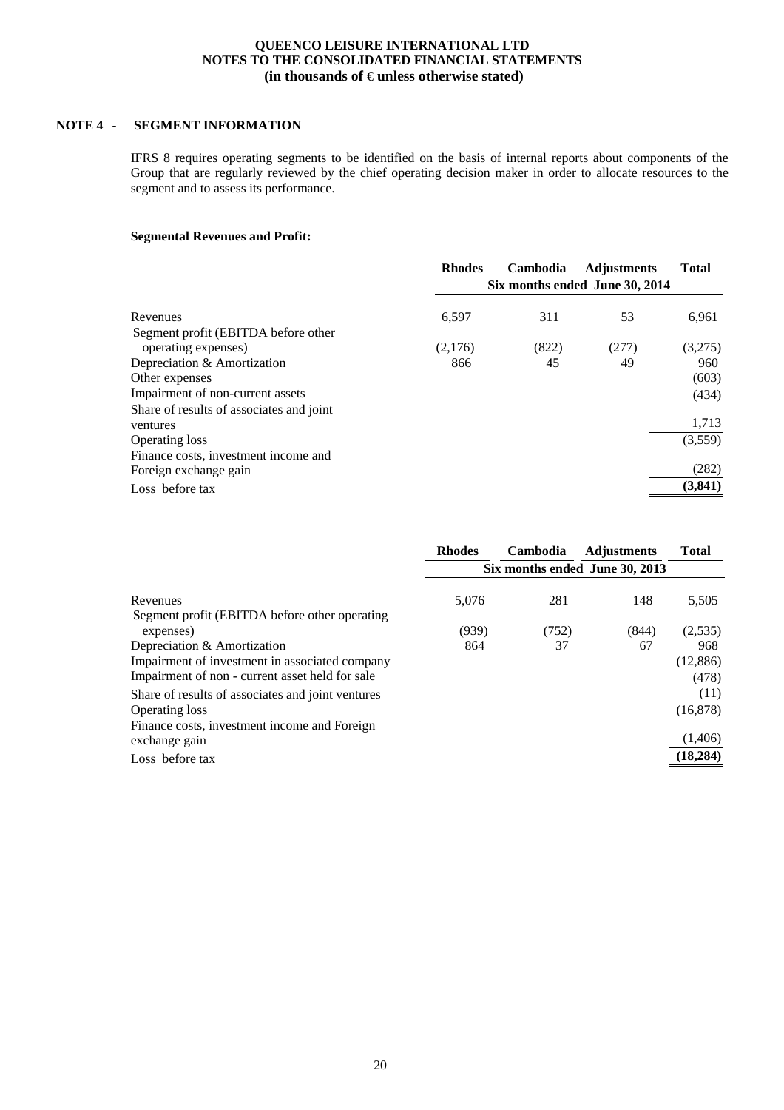## **NOTE 4 - SEGMENT INFORMATION**

IFRS 8 requires operating segments to be identified on the basis of internal reports about components of the Group that are regularly reviewed by the chief operating decision maker in order to allocate resources to the segment and to assess its performance.

#### **Segmental Revenues and Profit:**

|                                          | <b>Rhodes</b>                  | Cambodia | <b>Adjustments</b> | <b>Total</b> |
|------------------------------------------|--------------------------------|----------|--------------------|--------------|
|                                          | Six months ended June 30, 2014 |          |                    |              |
|                                          |                                |          |                    |              |
| Revenues                                 | 6,597                          | 311      | 53                 | 6,961        |
| Segment profit (EBITDA before other      |                                |          |                    |              |
| operating expenses)                      | (2,176)                        | (822)    | (277)              | (3,275)      |
| Depreciation & Amortization              | 866                            | 45       | 49                 | 960          |
| Other expenses                           |                                |          |                    | (603)        |
| Impairment of non-current assets         |                                |          |                    | (434)        |
| Share of results of associates and joint |                                |          |                    |              |
| ventures                                 |                                |          |                    | 1,713        |
| <b>Operating loss</b>                    |                                |          |                    | (3,559)      |
| Finance costs, investment income and     |                                |          |                    |              |
| Foreign exchange gain                    |                                |          |                    | (282)        |
| Loss before tax                          |                                |          |                    | (3, 841)     |
|                                          |                                |          |                    |              |

| <b>Rhodes</b>                  | Cambodia | <b>Adjustments</b> | <b>Total</b> |  |
|--------------------------------|----------|--------------------|--------------|--|
| Six months ended June 30, 2013 |          |                    |              |  |
| 5,076                          | 281      | 148                | 5,505        |  |
| (939)                          | (752)    | (844)              | (2,535)      |  |
| 864                            | 37       | 67                 | 968          |  |
|                                |          |                    | (12,886)     |  |
|                                |          |                    | (478)        |  |
|                                |          |                    | (11)         |  |
|                                |          |                    | (16, 878)    |  |
|                                |          |                    | (1,406)      |  |
|                                |          |                    | (18, 284)    |  |
|                                |          |                    |              |  |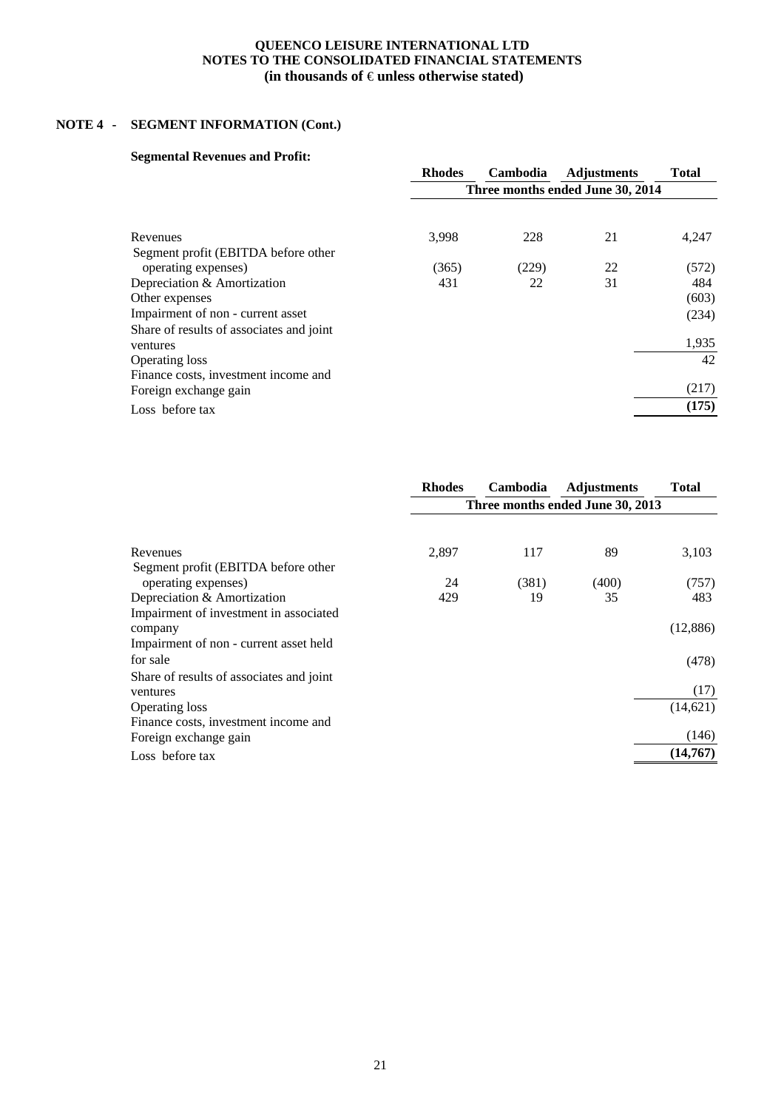# **NOTE 4 - SEGMENT INFORMATION (Cont.)**

## **Segmental Revenues and Profit:**

|                                          | <b>Rhodes</b>                    | <b>Cambodia</b> | <b>Adjustments</b> | <b>Total</b> |
|------------------------------------------|----------------------------------|-----------------|--------------------|--------------|
|                                          | Three months ended June 30, 2014 |                 |                    |              |
|                                          |                                  |                 |                    |              |
| Revenues                                 | 3,998                            | 228             | 21                 | 4,247        |
| Segment profit (EBITDA before other      |                                  |                 |                    |              |
| operating expenses)                      | (365)                            | (229)           | 22                 | (572)        |
| Depreciation & Amortization              | 431                              | 22              | 31                 | 484          |
| Other expenses                           |                                  |                 |                    | (603)        |
| Impairment of non - current asset        |                                  |                 |                    | (234)        |
| Share of results of associates and joint |                                  |                 |                    |              |
| ventures                                 |                                  |                 |                    | 1,935        |
| <b>Operating loss</b>                    |                                  |                 |                    | 42           |
| Finance costs, investment income and     |                                  |                 |                    |              |
| Foreign exchange gain                    |                                  |                 |                    | (217)        |
| Loss before tax                          |                                  |                 |                    | (175)        |

|                                          | <b>Rhodes</b>                    | Cambodia | <b>Adjustments</b> | <b>Total</b> |  |
|------------------------------------------|----------------------------------|----------|--------------------|--------------|--|
|                                          | Three months ended June 30, 2013 |          |                    |              |  |
|                                          |                                  |          |                    |              |  |
| Revenues                                 | 2,897                            | 117      | 89                 | 3,103        |  |
| Segment profit (EBITDA before other      |                                  |          |                    |              |  |
| operating expenses)                      | 24                               | (381)    | (400)              | (757)        |  |
| Depreciation & Amortization              | 429                              | 19       | 35                 | 483          |  |
| Impairment of investment in associated   |                                  |          |                    |              |  |
| company                                  |                                  |          |                    | (12,886)     |  |
| Impairment of non - current asset held   |                                  |          |                    |              |  |
| for sale                                 |                                  |          |                    | (478)        |  |
| Share of results of associates and joint |                                  |          |                    |              |  |
| ventures                                 |                                  |          |                    | (17)         |  |
| <b>Operating loss</b>                    |                                  |          |                    | (14, 621)    |  |
| Finance costs, investment income and     |                                  |          |                    |              |  |
| Foreign exchange gain                    |                                  |          |                    | (146)        |  |
| Loss before tax                          |                                  |          |                    | (14,767)     |  |